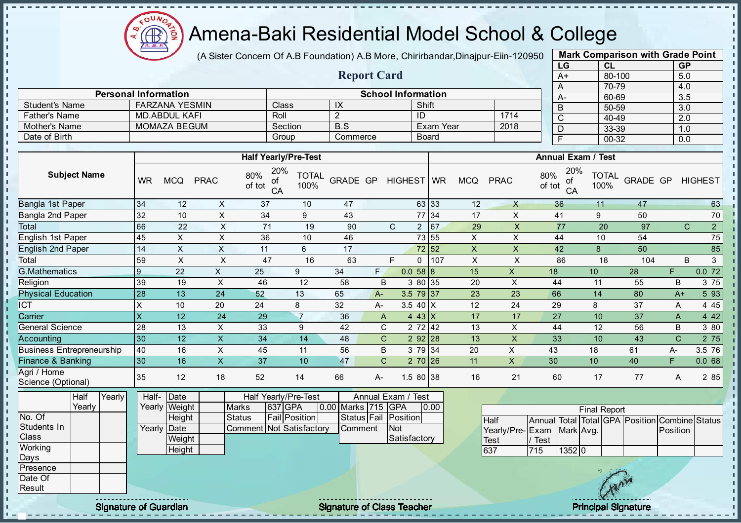

### Amena-Baki Residential Model School & College

(A Sister Concern Of A.B Foundation) A.B More, Chirirbandar, Dinajpur-Eiin-120950

Report Card

Personal Information and The School Information

|    | <b>Mark Comparison with Grade Point</b> |           |
|----|-----------------------------------------|-----------|
| LG | CL                                      | <b>GP</b> |
| A+ | 80-100                                  | 5.0       |
| A  | 70-79                                   | 4.0       |
| A- | 60-69                                   | 3.5       |
| B  | 50-59                                   | 3.0       |
| C  | 40-49                                   | 2.0       |
| D  | 33-39                                   | 1.0       |
| F  | 00-32                                   | 0.0       |
|    |                                         |           |

| <b>Student's Name</b>             |                           | <b>FARZANA YESMIN</b> |                | Class                            |                      | $\overline{X}$     |              |                    | Shift                |                           |                           |               | B               | 50-59                     |                 | $\overline{3.0}$ |                                                |
|-----------------------------------|---------------------------|-----------------------|----------------|----------------------------------|----------------------|--------------------|--------------|--------------------|----------------------|---------------------------|---------------------------|---------------|-----------------|---------------------------|-----------------|------------------|------------------------------------------------|
| <b>Father's Name</b>              |                           | <b>MD.ABDUL KAFI</b>  |                | Roll                             |                      | $\overline{2}$     |              |                    | ID                   |                           | 1714                      |               | C               | 40-49                     |                 | 2.0              |                                                |
| Mother's Name                     |                           | <b>MOMAZA BEGUM</b>   |                |                                  | Section              | $\overline{B.S}$   |              |                    | Exam Year            |                           | 2018                      |               | D               | 33-39                     |                 | 1.0              |                                                |
| Date of Birth                     |                           |                       |                | Group                            |                      | Commerce           |              |                    | <b>Board</b>         |                           |                           |               | F               | $00 - 32$                 |                 | 0.0              |                                                |
|                                   |                           |                       |                |                                  |                      |                    |              |                    |                      |                           |                           |               |                 |                           |                 |                  |                                                |
|                                   |                           |                       |                | <b>Half Yearly/Pre-Test</b>      |                      |                    |              |                    |                      |                           |                           |               |                 | <b>Annual Exam / Test</b> |                 |                  |                                                |
| <b>Subject Name</b>               | <b>WR</b>                 | <b>MCQ</b>            | <b>PRAC</b>    | 20%<br>80%<br>of<br>of tot<br>CA | <b>TOTAL</b><br>100% | <b>GRADE GP</b>    |              | HIGHEST WR         |                      | <b>MCQ</b>                | <b>PRAC</b>               | 80%<br>of tot | 20%<br>0f<br>CA | <b>TOTAL</b><br>100%      | <b>GRADE GP</b> |                  | <b>HIGHEST</b>                                 |
| Bangla 1st Paper                  | 34                        | 12                    | X              | 37                               | 10                   | 47                 |              |                    | 63 33                | 12                        | $\times$                  |               | 36              | 11                        | 47              |                  | 63                                             |
| Bangla 2nd Paper                  | 32                        | 10                    | X              | 34                               | 9                    | 43                 |              |                    | 77 34                | 17                        | X                         |               | 41              | 9                         | 50              |                  | 70                                             |
| Total                             | 66                        | 22                    | $\sf X$        | 71                               | 19                   | 90                 |              | $\mathsf{C}$       | 67<br>$\overline{2}$ | 29                        | $\pmb{\times}$            |               | 77              | 20                        | 97              |                  | $\overline{2}$<br>$\mathsf{C}$                 |
| English 1st Paper                 | 45                        | $\times$              | X              | 36                               | 10                   | 46                 |              |                    | 73 55                | $\pmb{\times}$            | $\pmb{\times}$            |               | 44              | 10                        | 54              |                  | 75                                             |
| English 2nd Paper                 | 14                        | $\mathsf{X}$          | $\sf X$        | 11                               | 6                    | 17                 |              |                    | 72 52                | $\boldsymbol{\mathsf{X}}$ | $\mathsf{X}$              |               | 42              | 8                         | 50              |                  | 85                                             |
| Total                             | 59                        | X                     | $\times$       | 47                               | 16                   | 63                 |              | E                  | 107<br>$\Omega$      | $\sf X$                   | $\sf X$                   |               | 86              | 18                        | 104             |                  | B<br>$\mathbf{3}$                              |
| G.Mathematics                     | $\boldsymbol{9}$          | 22                    | $\mathsf{x}$   | 25                               | 9                    | 34                 | F            |                    | 0.0588               | 15                        | $\pmb{\times}$            | 18            |                 | 10 <sup>°</sup>           | 28              | F.               | 0.072                                          |
| Religion                          | 39                        | 19                    | X              | 46                               | 12                   | 58                 | B            |                    | 3 80 35              | 20                        | X                         |               | 44              | 11                        | 55              | $\sf B$          | 3 75                                           |
| <b>Physical Education</b>         | 28                        | 13                    | 24             | 52                               | 13                   | 65                 | $A -$        |                    | 3.5 79 37            | 23                        | 23                        |               | 66              | 14                        | 80              | $A+$             | 5 93                                           |
| ICT                               | $\times$                  | 10                    | 20             | 24                               | 8                    | 32                 | А-           |                    | 3.5 40 $X$           | 12                        | 24                        |               | 29              | 8                         | 37              | A                | 4 4 5                                          |
| Carrier                           | $\boldsymbol{\mathsf{X}}$ | 12                    | 24             | 29                               | $\overline{7}$       | 36                 | $\mathsf{A}$ |                    | $443$ X              | 17                        | 17                        |               | 27              | 10                        | 37              | A                | 4 4 2                                          |
| <b>General Science</b>            | 28                        | 13                    | $\pmb{\times}$ | 33                               | $\boldsymbol{9}$     | 42                 | $\mathsf C$  |                    | 2 72 42              | 13                        | X                         |               | 44              | 12                        | 56              | B                | 3 80                                           |
| Accounting                        | 30                        | 12                    | $\pmb{\times}$ | 34                               | 14                   | 48                 | $\mathsf{C}$ |                    | $292$ 28             | 13                        | $\boldsymbol{\mathsf{X}}$ |               | 33              | 10                        | 43              | $\mathsf{C}$     | 2 75                                           |
| <b>Business Entrepreneurship</b>  | 40                        | 16                    | $\mathsf X$    | 45                               | 11                   | 56                 | B            |                    | 3 79 34              | 20                        | $\pmb{\times}$            | 43            |                 | 18                        | 61              | A-               | 3.5 76                                         |
| Finance & Banking                 | 30                        | 16                    | $\mathsf{X}$   | 37                               | 10                   | 47                 | $\mathsf{C}$ |                    | $270$ 26             | 11                        | $\mathsf{X}$              | 30            |                 | 10                        | 40              | F                | 0.068                                          |
| Agri / Home<br>Science (Optional) | 35                        | 12                    | 18             | 52                               | 14                   | 66                 | A-           |                    | 1.5 80 38            | 16                        | 21                        |               | 60              | 17                        | 77              | A                | 2 85                                           |
| Yearly<br>Half                    | Half-                     | Date                  |                | Half Yearly/Pre-Test             |                      |                    |              | Annual Exam / Test |                      |                           |                           |               |                 |                           |                 |                  |                                                |
| Yearly                            |                           | Yearly Weight         |                | Marks<br>637 GPA                 |                      | 0.00 Marks 715 GPA |              |                    | 0.00                 |                           |                           |               |                 | <b>Final Report</b>       |                 |                  |                                                |
| No. Of                            |                           | Height                |                | <b>Status</b>                    | <b>Fail Position</b> |                    | Status Fail  | Position           |                      |                           | <b>Half</b>               |               |                 |                           |                 |                  | Annual Total Total GPA Position Combine Status |
| Students In                       | Yearly                    | Date                  |                | Comment Not Satisfactory         |                      | Comment            |              | <b>Not</b>         |                      |                           | Yearly/Pre-Exam           |               | Mark Avg.       |                           |                 | Position         |                                                |
| Class                             |                           | Weight                |                |                                  |                      |                    |              | Satisfactory       |                      |                           | Test                      | / Test        |                 |                           |                 |                  |                                                |
| Working                           |                           | Height                |                |                                  |                      |                    |              |                    |                      |                           | 637                       | 715           | 1352 0          |                           |                 |                  |                                                |

 $\mathbf{I}$ 

 $\blacksquare$ 

×  $\mathbf{I}$  $\mathbf{I}$ 

 $\mathbf{I}$  $\mathbf{I}$  $\mathbf{I}$  $\mathbf{I}$  $\mathbf{I}$  $\mathbf I$  $\mathbf{I}$ л - II

J.  $\mathbf{I}$  $\mathbf{I}$  $\mathbf{I}$  $\mathbf{I}$  $\mathbf{I}$  $\mathbf{I}$ J.

- II  $\mathbf{I}$  $\mathbf{I}$  $\mathbf{I}$ h. h.  $\mathbf{I}$ J. J.  $\mathbf{I}$  $\mathbf{I}$  $\mathbf{I}$  $\mathbf{I}$  $\mathbf{I}$ J. ÷.  $\mathbf{I}$ a, п T. Î J. T.  $\mathbf{r}$  $\mathbf{I}$  $\mathbf{I}$ ×

> Days Presence Date Of Result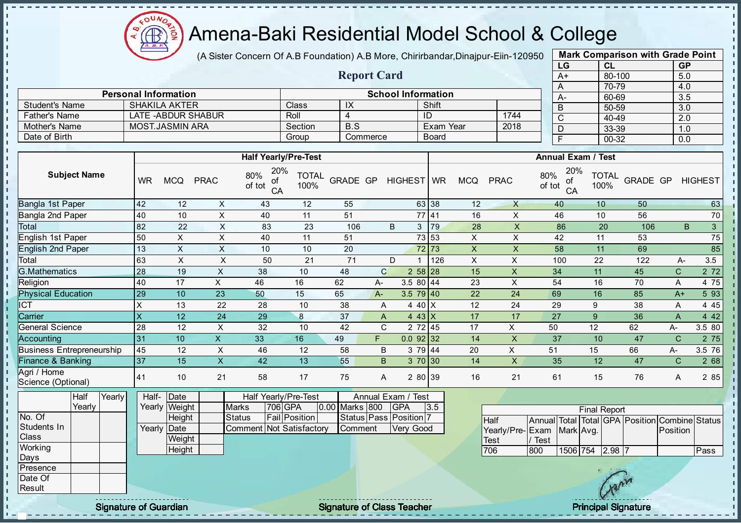

#### Amena-Baki Residential Model School & College

(A Sister Concern Of A.B Foundation) A.B More, Chirirbandar, Dinajpur-Eiin-120950

Report Card

|      | <b>Mark Comparison with Grade Point</b> |           |  |  |  |  |  |  |  |  |  |
|------|-----------------------------------------|-----------|--|--|--|--|--|--|--|--|--|
| LG   | CL                                      | <b>GP</b> |  |  |  |  |  |  |  |  |  |
| $A+$ | 80-100                                  | 5.0       |  |  |  |  |  |  |  |  |  |
| A    | 70-79                                   | 4.0       |  |  |  |  |  |  |  |  |  |
| А-   | 60-69                                   | 3.5       |  |  |  |  |  |  |  |  |  |
| B    | 50-59                                   | 3.0       |  |  |  |  |  |  |  |  |  |
| C    | 40-49                                   | 2.0       |  |  |  |  |  |  |  |  |  |
| D    | 33-39                                   | 1.0       |  |  |  |  |  |  |  |  |  |
| F    | 00-32                                   | 0.0       |  |  |  |  |  |  |  |  |  |
|      |                                         |           |  |  |  |  |  |  |  |  |  |

|                                  |                | <b>Personal Information</b> |                    |                                  |                             |                 |              | <b>School Information</b> |              |                |                | $A-$                             | .<br>60-69           |              | .<br>3.5     |                |
|----------------------------------|----------------|-----------------------------|--------------------|----------------------------------|-----------------------------|-----------------|--------------|---------------------------|--------------|----------------|----------------|----------------------------------|----------------------|--------------|--------------|----------------|
| <b>Student's Name</b>            |                | <b>SHAKILA AKTER</b>        |                    |                                  | Class                       | IX              |              |                           | Shift        |                |                | B                                | 50-59                |              | 3.0          |                |
| <b>Father's Name</b>             |                |                             | LATE -ABDUR SHABUR |                                  | Roll                        | 4               |              |                           | ID           |                | 1744           | C                                | 40-49                |              | 2.0          |                |
| Mother's Name                    |                | <b>MOST.JASMIN ARA</b>      |                    |                                  | Section                     | B.S             |              |                           | Exam Year    |                | 2018           | D                                | 33-39                |              | 1.0          |                |
| Date of Birth                    |                |                             |                    |                                  | Group                       |                 | Commerce     |                           | <b>Board</b> |                |                | F                                | 00-32                |              | 0.0          |                |
|                                  |                |                             |                    |                                  |                             |                 |              |                           |              |                |                |                                  |                      |              |              |                |
|                                  |                |                             |                    |                                  | <b>Half Yearly/Pre-Test</b> |                 |              |                           |              |                |                | <b>Annual Exam / Test</b>        |                      |              |              |                |
| <b>Subject Name</b>              | <b>WR</b>      | <b>MCQ</b>                  | <b>PRAC</b>        | 20%<br>80%<br>of<br>of tot<br>CA | <b>TOTAL</b><br>100%        | <b>GRADE GP</b> |              | HIGHEST WR                |              | <b>MCQ</b>     | <b>PRAC</b>    | 20%<br>80%<br>of<br>of tot<br>CA | <b>TOTAL</b><br>100% | GRADE GP     |              | <b>HIGHEST</b> |
| Bangla 1st Paper                 | 42             | 12                          | X                  | 43                               | 12                          | 55              |              |                           | 63 38        | 12             | X              | 40                               | 10                   | 50           |              | 63             |
| Bangla 2nd Paper                 | 40             | 10                          | X                  | 40                               | 11                          | 51              |              |                           | 77 41        | 16             | X              | 46                               | 10                   | 56           |              | 70             |
| Total                            | 82             | 22                          | $\pmb{\times}$     | 83                               | 23                          | 106             |              | B<br>3                    | 79           | 28             | $\pmb{\times}$ | 86                               | 20                   | 106          |              | 3<br>B         |
| English 1st Paper                | 50             | X                           | X                  | 40                               | 11                          | 51              |              |                           | 73 53        | X              | X              | 42                               | 11                   | 53           |              | 75             |
| <b>English 2nd Paper</b>         | 13             | X                           | X                  | 10                               | 10                          | 20              |              |                           | 72 73        | $\pmb{\times}$ | X              | 58                               | 11                   | 69           |              | 85             |
| Total                            | 63             | X                           | X                  | 50                               | 21                          | 71              |              | D                         | 126          | X              | X              | 100                              | 22                   | 122          | A-           | 3.5            |
| <b>G.Mathematics</b>             | 28             | 19                          | X                  | 38                               | 10                          | 48              | $\mathbf{C}$ |                           | $258$ 28     | 15             | X              | 34                               | 11                   | 45           | $\mathsf{C}$ | 2 7 2          |
| Religion                         | 40             | 17                          | X                  | 46                               | 16                          | 62              | A-           | $3.580$ 44                |              | 23             | X              | 54                               | 16                   | 70           | Α            | 4 75           |
| <b>Physical Education</b>        | 29             | 10                          | 23                 | 50                               | 15                          | 65              | A-           | $3.5 \ 79 \ 40$           |              | 22             | 24             | 69                               | 16                   | 85           | $A+$         | 5 9 3          |
| ICT                              | X              | 13                          | 22                 | 28                               | 10                          | 38              | A            | 4 40 X                    |              | 12             | 24             | 29                               | 9                    | 38           | Α            | 4 4 5          |
| Carrier                          | X              | 12                          | 24                 | 29                               | 8                           | 37              | A            | 4 43 $X$                  |              | 17             | 17             | 27                               | 9                    | 36           | A            | 4 4 2          |
| <b>General Science</b>           | 28             | 12                          | X                  | 32                               | 10                          | 42              | C            |                           | 2 72 45      | 17             | X              | 50                               | 12                   | 62           | A-           | 3.5 80         |
| Accounting                       | 31             | 10                          | $\mathsf{X}$       | 33                               | 16                          | 49              | F.           | $0.0$ 92 32               |              | 14             | X              | 37                               | 10                   | 47           | $\mathsf{C}$ | 2 75           |
| <b>Business Entrepreneurship</b> | 45             | 12                          | X                  | 46                               | 12                          | 58              | $\sf B$      |                           | 3 79 44      | 20             | X              | 51                               | 15                   | 66           | А-           | 3.5 76         |
| Finance & Banking                | 37             | 15                          | X                  | 42                               | 13                          | 55              | B.           |                           | 3 70 30      | 14             | X              | 35                               | 12                   | 47           | $\mathsf{C}$ | 2 68           |
| Agri / Home                      | $\overline{A}$ | $\overline{A}$              | $\Omega$           | ΓO.                              | 47                          | 7 <sub>F</sub>  | $\mathbf{A}$ |                           | 0.00120      | $\overline{A}$ | $\Omega$       | $\mathcal{L}$                    | $\overline{AB}$      | $70^{\circ}$ | $\lambda$    | 0 <sub>0</sub> |

**Half** Yearly **Yearly** No. Of Students In Class **Working** Days Presence Half-Yearly Weight **Date Height** Yearly Date **Weight Height** Half Yearly/Pre-Test Marks 706 GPA 0.00 Status **Fail Position** Comment Not Satisfactory Annual Exam / Test Marks 800 GPA 3.5 Status Pass Position 7 Comment Very Good Science (Optional)

| <b>Final Report</b>       |      |          |  |         |  |                                                |      |  |  |  |  |  |  |
|---------------------------|------|----------|--|---------|--|------------------------------------------------|------|--|--|--|--|--|--|
| <b>Half</b>               |      |          |  |         |  | Annual Total Total GPA Position Combine Status |      |  |  |  |  |  |  |
| Yearly/Pre-Exam Mark Avg. |      |          |  |         |  | Position                                       |      |  |  |  |  |  |  |
| <b>ITest</b>              | Test |          |  |         |  |                                                |      |  |  |  |  |  |  |
| 1706                      | 800  | 1506 754 |  | 2.98.17 |  |                                                | Pass |  |  |  |  |  |  |

Date Of Result

 $\mathbf{I}$ J.  $\mathbf{I}$  $\mathbf{I}$  $\mathbf{r}$ - II J. J. J.

 $\mathbf{I}$ J. - II

 $\mathbf{I}$  $\mathbf{r}$  $\mathbf{I}$  $\mathbf{I}$  $\mathbf{I}$  $\mathbf{I}$  $\mathbf{I}$ l ni h h, l ni h h  $\mathbf{I}$  $\mathbf{I}$  $\mathbf{I}$ - II

Signature of Guardian Signature of Class Teacher Principal Signature of Class Teacher Principal Signature

41 10 21 58 17 75 A 2 80 39 16 21 61 15 76 A 2 85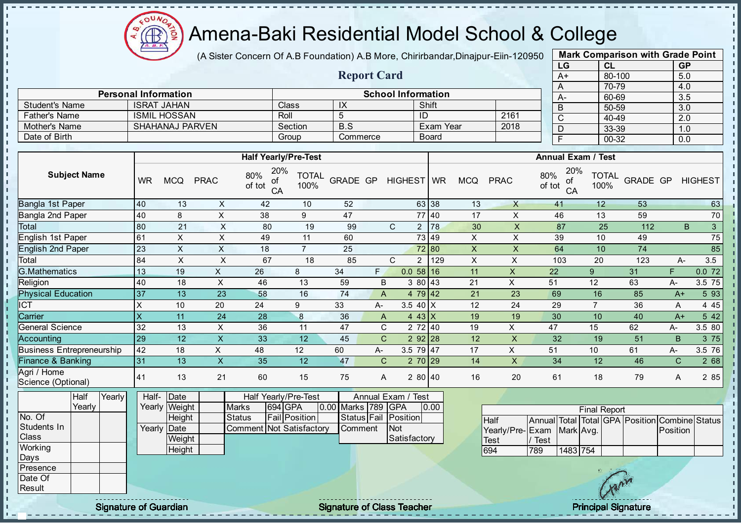Æ  $\frac{1}{2}$ 

# Amena-Baki Residential Model School & College

(A Sister Concern Of A.B Foundation) A.B More, Chirirbandar, Dinajpur-Eiin-120950

Report Card

|      | <b>Mark Comparison with Grade Point</b> |           |
|------|-----------------------------------------|-----------|
| LG   | CL                                      | <b>GP</b> |
| $A+$ | 80-100                                  | 5.0       |
| Α    | 70-79                                   | 4.0       |
| A-   | 60-69                                   | 3.5       |
| B    | 50-59                                   | 3.0       |
| C    | 40-49                                   | 2.0       |
| D    | 33-39                                   | 1.0       |
| F    | 00-32                                   | 0.0       |
|      |                                         |           |

|                                    | <b>School Information</b><br><b>Personal Information</b> |                                    |                           |                                                  |                      |                        |                |                                        |                  | $A-$                      |                                                      | 60-69                                                           |                       | 3.5                  |          |                  |                |
|------------------------------------|----------------------------------------------------------|------------------------------------|---------------------------|--------------------------------------------------|----------------------|------------------------|----------------|----------------------------------------|------------------|---------------------------|------------------------------------------------------|-----------------------------------------------------------------|-----------------------|----------------------|----------|------------------|----------------|
| <b>Student's Name</b>              |                                                          | <b>ISRAT JAHAN</b>                 |                           | Class                                            |                      | $\overline{1}X$        |                |                                        | Shift            |                           |                                                      | B                                                               |                       | 50-59                |          | $\overline{3.0}$ |                |
| <b>Father's Name</b>               |                                                          | <b>ISMIL HOSSAN</b>                |                           | Roll                                             |                      | $\overline{5}$         |                | $\overline{ID}$                        |                  |                           | 2161                                                 | $\overline{C}$                                                  |                       | 40-49                |          | $\overline{2.0}$ |                |
| Mother's Name                      |                                                          | <b>SHAHANAJ PARVEN</b>             |                           |                                                  | Section              | B.S                    |                |                                        | <b>Exam Year</b> |                           | 2018                                                 | D                                                               |                       | 33-39                |          | 1.0              |                |
| Date of Birth                      |                                                          |                                    |                           | Group                                            |                      | Commerce               |                |                                        | <b>Board</b>     |                           |                                                      | E                                                               |                       | $00 - 32$            |          | 0.0              |                |
|                                    |                                                          |                                    |                           |                                                  |                      |                        |                |                                        |                  |                           |                                                      |                                                                 |                       |                      |          |                  |                |
|                                    |                                                          |                                    |                           | <b>Half Yearly/Pre-Test</b>                      |                      |                        |                |                                        |                  |                           |                                                      | <b>Annual Exam / Test</b>                                       |                       |                      |          |                  |                |
| <b>Subject Name</b>                | <b>WR</b>                                                | <b>MCQ</b>                         | <b>PRAC</b>               | 20%<br>80%<br>οf<br>of tot<br>CA                 | <b>TOTAL</b><br>100% | <b>GRADE GP</b>        |                | HIGHEST WR                             |                  | <b>MCQ</b>                | <b>PRAC</b>                                          | 80%<br>of tot                                                   | 20%<br>οf<br>CA       | <b>TOTAL</b><br>100% | GRADE GP |                  | <b>HIGHEST</b> |
| Bangla 1st Paper                   | 40                                                       | 13                                 | X                         | 42                                               | 10                   | 52                     |                |                                        | 63 38            | 13                        | $\mathsf{X}$                                         | 41                                                              |                       | 12                   | 53       |                  | 63             |
| Bangla 2nd Paper                   | 40                                                       | 8                                  | $\boldsymbol{\mathsf{X}}$ | 38                                               | 9                    | 47                     |                |                                        | 77 40            | 17                        | $\mathsf{X}$                                         | 46                                                              |                       | 13                   | 59       |                  | 70             |
| Total                              | 80                                                       | 21                                 | X                         | 80                                               | 19                   | 99                     |                | $\mathsf{C}$                           | $2 \mid 78$      | 30                        | $\pmb{\times}$                                       | 87                                                              |                       | 25                   | 112      | B                | $\mathbf{3}$   |
| <b>English 1st Paper</b>           | 61                                                       | X                                  | $\times$                  | 49                                               | 11                   | 60                     |                |                                        | 73 49            | X                         | X                                                    | 39                                                              |                       | 10                   | 49       |                  | 75             |
| <b>English 2nd Paper</b>           | 23                                                       | $\boldsymbol{\mathsf{X}}$          | $\sf X$                   | 18                                               | $\overline{7}$       | 25                     |                |                                        | 72 80            | $\pmb{\times}$            | $\boldsymbol{\mathsf{X}}$                            | 64                                                              |                       | 10                   | 74       |                  | 85             |
| Total                              | 84                                                       | $\pmb{\times}$                     | X                         | 67                                               | 18                   | 85                     |                | C<br>$\overline{2}$                    | 129              | $\boldsymbol{\mathsf{X}}$ | Χ                                                    | 103                                                             |                       | 20                   | 123      | $A-$             | 3.5            |
| <b>G.Mathematics</b>               | 13                                                       | 19                                 | $\mathsf{X}$              | 26                                               | 8                    | 34                     | F.             | 0.058116                               |                  | 11                        | $\mathsf X$                                          | 22                                                              | 9 <sup>°</sup>        |                      | 31       | F                | 0.072          |
| Religion                           | 40                                                       | 18                                 | $\boldsymbol{\mathsf{X}}$ | 46                                               | 13                   | 59                     | $\sf B$        | 3 80 43                                |                  | 21                        | Χ                                                    | 51                                                              | 12                    |                      | 63       | А-               | 3.5 75         |
| <b>Physical Education</b>          | 37                                                       | 13                                 | 23                        | 58                                               | 16                   | 74                     | $\overline{A}$ | 4 79 42                                |                  | 21                        | $\overline{23}$                                      | 69                                                              |                       | 16                   | 85       | $A+$             | 593            |
| <b>ICT</b>                         | $\times$                                                 | 10                                 | 20                        | 24                                               | 9                    | 33                     | А-             | 3.5 40 $X$                             |                  | 12                        | 24                                                   | 29                                                              | $\overline{7}$        |                      | 36       | Α                | 4 4 5          |
| Carrier                            | $\mathsf{X}$                                             | 11                                 | 24                        | 28                                               | $\bf 8$              | 36                     | $\mathsf{A}$   | 4 43 $X$                               |                  | 19                        | 19                                                   | 30                                                              | 10                    |                      | 40       | $A+$             | 5 4 2          |
| <b>General Science</b>             | 32                                                       | 13                                 | $\pmb{\times}$            | 36                                               | 11                   | 47                     | C              | 2 72 40                                |                  | 19                        | X                                                    | 47                                                              | 15                    |                      | 62       | A-               | 3.5 80         |
| <b>Accounting</b>                  | 29                                                       | 12                                 | $\overline{\mathsf{x}}$   | 33                                               | 12                   | 45                     | $\mathsf{C}$   | $292$ 28                               |                  | 12                        | $\mathsf{X}$                                         | 32                                                              |                       | 19                   | 51       | B                | 3 75           |
| <b>Business Entrepreneurship</b>   | 42                                                       | 18                                 | X                         | 48                                               | 12                   | 60                     | А-             | 3.5 79 47                              |                  | 17                        | $\pmb{\times}$                                       | 51                                                              | 10                    |                      | 61       | А-               | 3.5 76         |
| <b>Finance &amp; Banking</b>       | 31                                                       | 13                                 | $\overline{\mathsf{x}}$   | 35                                               | 12                   | 47                     | $\mathbf C$    | $270$  29                              |                  | 14                        | $\mathsf{X}$                                         | 34                                                              |                       | 12                   | 46       | $\mathsf{C}$     | 2 68           |
| Agri / Home<br>Science (Optional)  | 41                                                       | 13                                 | 21                        | 60                                               | 15                   | 75                     | A              | $280$ 40                               |                  | 16                        | 20                                                   | 61                                                              |                       | 18                   | 79       | A                | 2 8 5          |
| Half<br>Yearly<br>Yearly<br>No. Of | Half-                                                    | Date<br>Yearly Weight              |                           | Half Yearly/Pre-Test<br><b>Marks</b><br>694 GPA  |                      | 0.00 Marks 789 GPA     |                | Annual Exam / Test                     | 0.00             |                           |                                                      |                                                                 |                       | <b>Final Report</b>  |          |                  |                |
| Students In<br>Class<br>Working    | Yearly                                                   | Height<br>Date<br>Weight<br>Height |                           | <b>Status</b><br><b>Comment Not Satisfactory</b> | <b>Fail Position</b> | Status Fail<br>Comment |                | Position<br><b>Not</b><br>Satisfactory |                  |                           | <b>Half</b><br>Yearly/Pre-Exam<br><b>Test</b><br>694 | Annual Total Total GPA Position Combine Status<br>/ Test<br>789 | Mark Avg.<br>1483 754 |                      |          | Position         |                |
| Days<br>Presence<br>Date Of        |                                                          |                                    |                           |                                                  |                      |                        |                |                                        |                  |                           |                                                      |                                                                 |                       | $\sqrt{2}$           |          |                  |                |

Signature of Guardian and Signature of Class Teacher Principal Signature of Class Teacher Principal Signature<br>Alternative of Class Teacher Principal Signature of Class Teacher Principal Signature of Class Teacher Princip

Result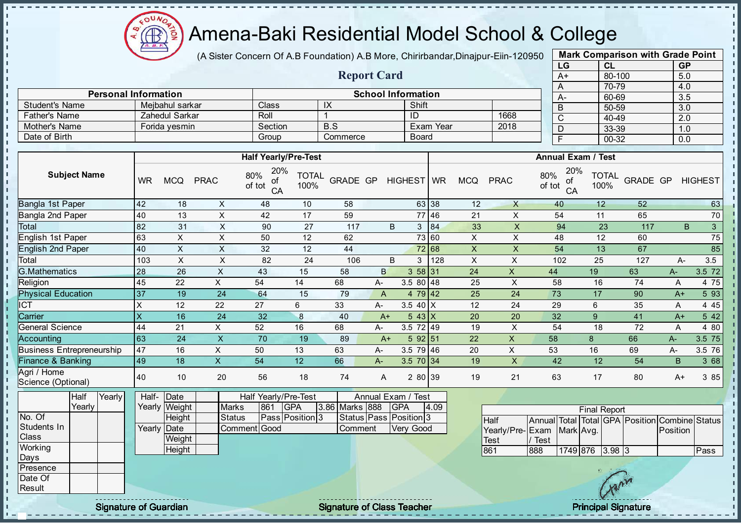

Mother's Name **Forida yesmin** Section

- n

- II J. п

п

h J. T. J.  $\mathbf{I}$ 

J.

J.

 $\mathbf{I}$ 

- II

### Amena-Baki Residential Model School & College

(A Sister Concern Of A.B Foundation) A.B More, Chirirbandar, Dinajpur-Eiin-120950

Report Card

Personal Information and The School Information School Information

Father's Name Zahedul Sarkar Roll 1 ID 1668

Student's Name Mejbahul sarkar Class IX Shift<br>
Father's Name Zahedul Sarkar Roll 1 ID

| <b>Mark Comparison with Grade Point</b><br>LG<br><b>GP</b><br>CL |  |  |  |  |  |  |  |  |  |  |  |
|------------------------------------------------------------------|--|--|--|--|--|--|--|--|--|--|--|
|                                                                  |  |  |  |  |  |  |  |  |  |  |  |
|                                                                  |  |  |  |  |  |  |  |  |  |  |  |
|                                                                  |  |  |  |  |  |  |  |  |  |  |  |
|                                                                  |  |  |  |  |  |  |  |  |  |  |  |
|                                                                  |  |  |  |  |  |  |  |  |  |  |  |
|                                                                  |  |  |  |  |  |  |  |  |  |  |  |
|                                                                  |  |  |  |  |  |  |  |  |  |  |  |
|                                                                  |  |  |  |  |  |  |  |  |  |  |  |
|                                                                  |  |  |  |  |  |  |  |  |  |  |  |

 $\mathbf{I}$ 

r.

J.

л

п  $\mathbf{I}$  $\mathbf{I}$  $\mathbf{I}$  $\mathbf{r}$  $\mathbf{r}$  $\mathbf{I}$ 

 $\mathbf{I}$ 

|                                                            |                         |                                                         |                           |                                                                              |                      |                           |                |                                                                         |       |                |                                               | ້                                                        |                           | oo oo                |                 |             |                |
|------------------------------------------------------------|-------------------------|---------------------------------------------------------|---------------------------|------------------------------------------------------------------------------|----------------------|---------------------------|----------------|-------------------------------------------------------------------------|-------|----------------|-----------------------------------------------|----------------------------------------------------------|---------------------------|----------------------|-----------------|-------------|----------------|
| Date of Birth                                              |                         |                                                         |                           | Group                                                                        |                      | Commerce                  |                | <b>Board</b>                                                            |       |                |                                               | $\overline{\mathsf{F}}$                                  |                           | $00 - 32$            |                 | 0.0         |                |
|                                                            |                         |                                                         |                           |                                                                              |                      |                           |                |                                                                         |       |                |                                               |                                                          |                           |                      |                 |             |                |
|                                                            |                         |                                                         |                           | <b>Half Yearly/Pre-Test</b>                                                  |                      |                           |                |                                                                         |       |                |                                               |                                                          | <b>Annual Exam / Test</b> |                      |                 |             |                |
| <b>Subject Name</b>                                        | <b>WR</b>               | <b>MCQ</b>                                              | <b>PRAC</b>               | 20%<br>80%<br>οf<br>of tot<br>CA                                             | <b>TOTAL</b><br>100% | <b>GRADE GP</b>           |                | HIGHEST   WR                                                            |       | <b>MCQ</b>     | <b>PRAC</b>                                   | 80%<br>of tot                                            | 20%<br>of<br>CA           | <b>TOTAL</b><br>100% | <b>GRADE GP</b> |             | <b>HIGHEST</b> |
| <b>Bangla 1st Paper</b>                                    | 42                      | 18                                                      | X                         | 48                                                                           | 10                   | 58                        |                |                                                                         | 63 38 | 12             | $\mathsf{X}$                                  | 40                                                       |                           | 12                   | 52              |             | 63             |
| Bangla 2nd Paper                                           | 40                      | 13                                                      | $\mathsf X$               | 42                                                                           | 17                   | 59                        |                |                                                                         | 77 46 | 21             | $\pmb{\times}$                                | 54                                                       |                           | 11                   | 65              |             | 70             |
| Total                                                      | 82                      | 31                                                      | $\times$                  | 90                                                                           | 27                   | 117                       |                | B                                                                       | 3 84  | 33             | $\boldsymbol{\mathsf{X}}$                     | 94                                                       |                           | 23                   | 117             | B.          | 3 <sup>7</sup> |
| <b>English 1st Paper</b>                                   | 63                      | $\mathsf X$                                             | $\sf X$                   | 50                                                                           | 12                   | 62                        |                |                                                                         | 73 60 | X              | $\pmb{\times}$                                | 48                                                       |                           | 12                   | 60              |             | 75             |
| <b>English 2nd Paper</b>                                   | 40                      | X                                                       | $\boldsymbol{\mathsf{X}}$ | 32                                                                           | 12                   | 44                        |                |                                                                         | 72 68 | $\pmb{\times}$ | X                                             | 54                                                       |                           | 13                   | 67              |             | 85             |
| Total                                                      | 103                     | X                                                       | $\sf X$                   | 82                                                                           | 24                   | 106                       |                | B                                                                       | 3 128 | $\pmb{\times}$ | $\sf X$                                       | 102                                                      |                           | 25                   | 127             | A-          | 3.5            |
| <b>G.Mathematics</b>                                       | 28                      | 26                                                      | $\mathsf X$               | 43                                                                           | 15                   | 58                        | $\mathsf{B}$   | 358 31                                                                  |       | 24             | $\mathsf{X}$                                  | 44                                                       |                           | 19                   | 63              | $A-$        | 3.5 72         |
| Religion                                                   | 45                      | 22                                                      | $\times$                  | 54                                                                           | 14                   | 68                        | А-             | $3.580$ 48                                                              |       | 25             | $\times$                                      | 58                                                       |                           | 16                   | 74              | A           | 4 75           |
| <b>Physical Education</b>                                  | 37                      | 19                                                      | 24                        | 64                                                                           | 15                   | 79                        | $\overline{A}$ | $479$ 42                                                                |       | 25             | 24                                            | 73                                                       |                           | 17                   | 90              | $A+$        | 5 9 3          |
| $\overline{\text{ICT}}$                                    | $\times$                | 12                                                      | 22                        | 27                                                                           | 6                    | 33                        | A-             | 3.5 40 $\overline{X}$                                                   |       | 12             | 24                                            | 29                                                       |                           | $6\phantom{1}$       | 35              | A           | 445            |
| Carrier                                                    | $\overline{\mathsf{x}}$ | 16                                                      | 24                        | 32                                                                           | 8                    | 40                        | $A+$           | $543$ X                                                                 |       | 20             | 20                                            | 32                                                       |                           | 9                    | 41              | $A+$        | 542            |
| General Science                                            | 44                      | 21                                                      | X                         | 52                                                                           | 16                   | 68                        | А-             | $3.5 \ 72 \ 49$                                                         |       | 19             | X                                             | 54                                                       |                           | 18                   | 72              | A           | 4 80           |
| Accounting                                                 | 63                      | 24                                                      | $\overline{\mathsf{x}}$   | 70                                                                           | 19                   | 89                        | $A+$           | 5 92 51                                                                 |       | 22             | $\pmb{\times}$                                | 58                                                       |                           | 8                    | 66              | A-          | 3.5 75         |
| <b>Business Entrepreneurship</b>                           | 47                      | 16                                                      | $\times$                  | 50                                                                           | 13                   | 63                        | А-             | $3.579$ 46                                                              |       | 20             | $\mathsf X$                                   | 53                                                       |                           | 16                   | 69              | A-          | 3.5 76         |
| <b>Finance &amp; Banking</b>                               | 49                      | 18                                                      | $\overline{X}$            | 54                                                                           | $\overline{12}$      | 66                        | A-             | $3.5 \ 70 \ 34$                                                         |       | 19             | $\mathsf{X}$                                  | 42                                                       |                           | 12                   | 54              | $\mathsf B$ | 3 68           |
| Agri / Home<br>Science (Optional)                          | 40                      | 10                                                      | 20                        | 56                                                                           | 18                   | 74                        | A              | 2 80 39                                                                 |       | 19             | 21                                            | 63                                                       |                           | 17                   | 80              | A+          | 3 85           |
| Yearly<br>Half<br>Yearly<br>No. Of<br>Students In<br>Class | Yearly                  | Half- Date<br>Yearly Weight<br>Height<br>Date<br>Weight | <b>Marks</b><br>Status    | Half Yearly/Pre-Test<br>861<br><b>GPA</b><br>Pass Position 3<br>Comment Good |                      | 3.86 Marks 888<br>Comment |                | Annual Exam / Test<br><b>GPA</b><br>Status Pass Position 3<br>Very Good | 4.09  |                | <b>Half</b><br>Yearly/Pre-Exam<br><b>Test</b> | Annual Total Total GPA Position Combine Status<br>/ Test | Mark Avg.                 | <b>Final Report</b>  |                 | Position    |                |
| Working                                                    |                         | Height                                                  |                           |                                                                              |                      |                           |                |                                                                         |       |                | 861                                           | 888                                                      |                           | 1749 876 3.98 3      |                 |             | Pass           |
| Days<br>Presence<br>Date Of                                |                         |                                                         |                           |                                                                              |                      |                           |                |                                                                         |       |                |                                               |                                                          |                           |                      |                 |             |                |
| Result                                                     |                         |                                                         |                           |                                                                              |                      |                           |                |                                                                         |       |                |                                               |                                                          |                           |                      |                 |             |                |

Signature of Guardian Signature of Class Teacher Principal Signature Principal Signature

 $\mathcal{N}$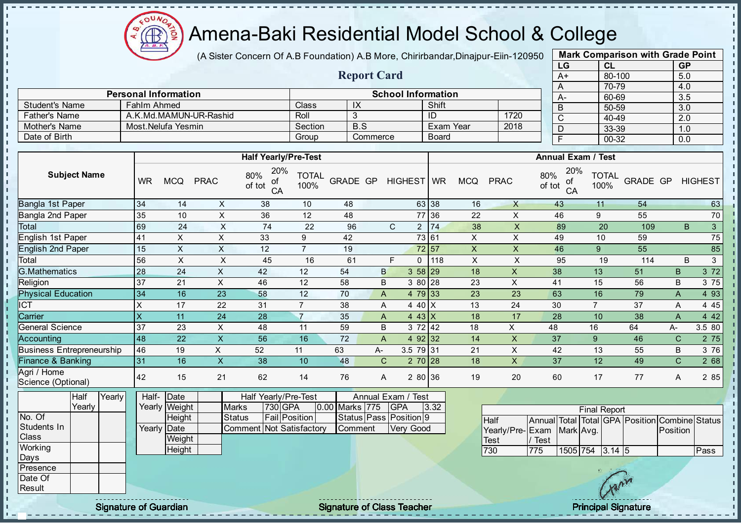$QUN$  $\bigoplus_{\Delta,\Delta,\sigma}$ ğ

# Amena-Baki Residential Model School & College

(A Sister Concern Of A.B Foundation) A.B More, Chirirbandar, Dinajpur-Eiin-120950

|                                    |                             |                                 |                           |                                                                   |                      |                |                    |                                                            |              |                           |                            | LG                                             | <b>CL</b>                 |                 | <b>GP</b>        |                 |
|------------------------------------|-----------------------------|---------------------------------|---------------------------|-------------------------------------------------------------------|----------------------|----------------|--------------------|------------------------------------------------------------|--------------|---------------------------|----------------------------|------------------------------------------------|---------------------------|-----------------|------------------|-----------------|
|                                    |                             |                                 |                           |                                                                   |                      |                | <b>Report Card</b> |                                                            |              |                           |                            | $A+$                                           | 80-100                    |                 | 5.0              |                 |
|                                    |                             |                                 |                           |                                                                   |                      |                |                    |                                                            |              |                           |                            | A                                              | 70-79                     |                 | 4.0              |                 |
|                                    | <b>Personal Information</b> |                                 |                           |                                                                   |                      |                |                    | <b>School Information</b>                                  |              |                           |                            | A-                                             | 60-69                     |                 | 3.5              |                 |
| <b>Student's Name</b>              | Fahlm Ahmed                 |                                 |                           |                                                                   | Class                | IX             |                    |                                                            | Shift        |                           |                            | $\overline{B}$                                 | 50-59                     |                 | 3.0              |                 |
| Father's Name                      |                             |                                 | A.K.Md.MAMUN-UR-Rashid    |                                                                   | Roll                 | 3              |                    |                                                            | ID           | 1720<br><b>Exam Year</b>  |                            | $\overline{C}$                                 | $40 - 49$                 |                 | $\overline{2.0}$ |                 |
| Mother's Name                      |                             | Most.Nelufa Yesmin              |                           |                                                                   | Section              |                | B.S                |                                                            |              |                           | 2018                       | $\overline{D}$                                 | 33-39                     |                 | 1.0              |                 |
| Date of Birth                      |                             |                                 |                           |                                                                   | Group                |                | Commerce           |                                                            | <b>Board</b> |                           |                            | F                                              | $00 - 32$                 |                 | 0.0              |                 |
|                                    |                             |                                 |                           | <b>Half Yearly/Pre-Test</b>                                       |                      |                |                    |                                                            |              |                           |                            |                                                | <b>Annual Exam / Test</b> |                 |                  |                 |
| <b>Subject Name</b>                | <b>WR</b>                   | <b>MCQ</b>                      | <b>PRAC</b>               | 20%<br>80%<br>οf<br>of tot<br>CA                                  | <b>TOTAL</b><br>100% | GRADE GP       |                    | HIGHEST WR                                                 |              | <b>MCQ</b>                | <b>PRAC</b>                | 20%<br>80%<br>of<br>of tot<br>CA               | <b>TOTAL</b><br>100%      | GRADE GP        |                  | <b>HIGHEST</b>  |
| Bangla 1st Paper                   | 34                          | 14                              | $\boldsymbol{\mathsf{X}}$ | 38                                                                | 10                   | 48             |                    |                                                            | 63 38        | 16                        | $\mathsf{X}$               | 43                                             | 11                        | 54              |                  | 63              |
| Bangla 2nd Paper                   | 35                          | 10                              | $\times$                  | 36                                                                | 12                   | 48             |                    |                                                            | 77 36        | 22                        | X                          | 46                                             | $\boldsymbol{9}$          | 55              |                  | 70              |
| Total                              | 69                          | 24                              | $\pmb{\times}$            | 74                                                                | 22                   | 96             |                    | $\mathsf{C}$                                               | 2 74         | 38                        | $\pmb{\times}$             | 89                                             | 20                        | 109             | B                | $\overline{3}$  |
| English 1st Paper                  | 41                          | $\mathsf{X}$                    | $\boldsymbol{\mathsf{X}}$ | 33                                                                | $9\,$                | 42             |                    |                                                            | 73 61        | $\boldsymbol{\mathsf{X}}$ | $\pmb{\times}$             | 49                                             | 10                        | 59              |                  | $\overline{75}$ |
| <b>English 2nd Paper</b>           | 15                          | $\overline{X}$                  | $\overline{X}$            | $\overline{12}$                                                   | $\overline{7}$       | 19             |                    |                                                            | 72 57        | $\overline{X}$            | $\overline{X}$             | 46                                             | $\overline{9}$            | $\overline{55}$ |                  | 85              |
| Total                              | 56                          | $\mathsf{x}$                    | $\sf X$                   | 45                                                                | 16                   | 61             |                    | E<br>$\Omega$                                              | 118          | $\pmb{\times}$            | $\times$                   | 95                                             | 19                        | 114             | B                | $\mathbf{3}$    |
| <b>G.Mathematics</b>               | 28                          | 24                              | $\pmb{\times}$            | 42                                                                | 12                   | 54             | B                  |                                                            | 358 29       | 18                        | $\mathsf X$                | 38                                             | 13                        | 51              | $\sf B$          | 372             |
| Religion                           | 37                          | 21                              | $\mathsf X$               | 46                                                                | 12                   | 58             | B                  |                                                            | 3 80 28      | 23                        | $\pmb{\times}$             | 41                                             | $\overline{15}$           | 56              | $\sf B$          | 3 75            |
| <b>Physical Education</b>          | 34                          | 16                              | 23                        | 58                                                                | 12                   | 70             | A                  |                                                            | $479$ 33     | 23                        | 23                         | 63                                             | 16                        | 79              | $\mathsf{A}$     | 4 9 3           |
| $\overline{\text{CT}}$             | $\times$                    | 17                              | 22                        | 31                                                                | $\overline{7}$       | 38             | Α                  | 4 40 X                                                     |              | 13                        | 24                         | 30                                             | $\overline{7}$            | 37              | A                | 4 4 5           |
| Carrier                            | $\overline{\mathsf{x}}$     | 11                              | 24                        | 28                                                                | $\overline{7}$       | 35             | $\overline{A}$     |                                                            | $443$ X      | 18                        | 17                         | 28                                             | 10                        | 38              | $\mathsf{A}$     | 4 4 2           |
| General Science                    | 37                          | 23                              | X                         | 48                                                                | 11                   | 59             | B                  |                                                            | 372   42     | 18                        | X                          | 48                                             | 16                        | 64              | $A-$             | 3.5 80          |
| Accounting                         | 48                          | $\overline{22}$                 | $\mathsf X$               | 56                                                                | 16                   | 72             | $\overline{A}$     |                                                            | 4 $92$ 32    | 14                        | $\mathsf X$                | 37                                             | 9                         | 46              | $\mathsf{C}$     | 2 75            |
| <b>Business Entrepreneurship</b>   | 46                          | 19                              | X                         | 52                                                                | 11                   | 63             | A-                 | 3.5 79 31                                                  |              | 21                        | $\boldsymbol{\mathsf{X}}$  | 42                                             | 13                        | 55              | B                | 3 76            |
| Finance & Banking                  | 31                          | 16                              | $\mathsf X$               | 38                                                                | 10                   | 48             | $\mathsf{C}$       |                                                            | $270$ 28     | 18                        | $\boldsymbol{\mathsf{X}}$  | 37                                             | 12                        | 49              | $\mathsf{C}$     | 2 68            |
| Agri / Home<br>Science (Optional)  | 42                          | 15                              | 21                        | 62                                                                | 14                   | 76             | A                  |                                                            | 2 80 36      | 19                        | 20                         | 60                                             | 17                        | 77              | A                | 2 85            |
| Yearly<br>Half<br>Yearly<br>No. Of | Half-                       | Date<br>Yearly Weight<br>Height | <b>Marks</b>              | Half Yearly/Pre-Test<br>730 GPA<br><b>Fail Position</b><br>Status |                      | 0.00 Marks 775 |                    | Annual Exam / Test<br><b>GPA</b><br>Status Pass Position 9 | 3.32         |                           | <b>Half</b>                | Annual Total Total GPA Position Combine Status | <b>Final Report</b>       |                 |                  |                 |
| Students In<br>Class<br>Working    |                             | Yearly Date<br>Weight           |                           | Comment Not Satisfactory                                          |                      | Comment        |                    | Very Good                                                  |              |                           | Yearly/Pre-<br><b>Test</b> | Exam<br>/ Test                                 | Mark Avg.                 |                 | Position         |                 |
| Days                               |                             | Height                          |                           |                                                                   |                      |                |                    |                                                            |              |                           | 730                        | $\overline{775}$                               | 1505 754 3.14 5           |                 |                  | Pass            |
| Presence<br>Date Of<br>Result      |                             |                                 |                           |                                                                   |                      |                |                    |                                                            |              |                           |                            |                                                |                           |                 |                  |                 |
|                                    |                             |                                 |                           |                                                                   |                      |                |                    |                                                            |              |                           |                            |                                                |                           |                 |                  |                 |

 $\mathbf{I}$  $\frac{1}{1}$ 

i, i<br>I  $\mathbf{I}$ П **I**  $\mathbf{I}$  $\mathbf{I}$ 

- II J.

 $\mathbf{r}$ 

J.

h  $\mathbf{I}$ Ŀ

h

ίü.  $\mathbf{r}$ 

- II  $\mathbf{I}$  $\mathbf{r}$  $\mathbf{I}$ h. h,  $\mathbf{I}$ h, h j, l n h.  $\mathbf{I}$  $\mathbf{I}$  $\mathbf{r}$ J. J. п h J. J.  $\mathbf{r}$  $\mathbf{I}$ h.  $\mathbf{I}$  $\mathbf{I}$  $\mathbf{I}$ 

Signature of Guardian Signature of Class Teacher Principal Signature of Class Teacher Principal Signature

Mark Comparison with Grade Point

л  $\mathbf{I}$ 

 $\mathbf{I}$ 

 $\mathbf{I}$ 

 $\mathbf{I}$ 

 $\mathbf{I}$ 

 $\mathbf{I}$ 

 $\mathbf{I}$  $\mathbf{I}$ 

 $\mathbf{I}$ 

 $\blacksquare$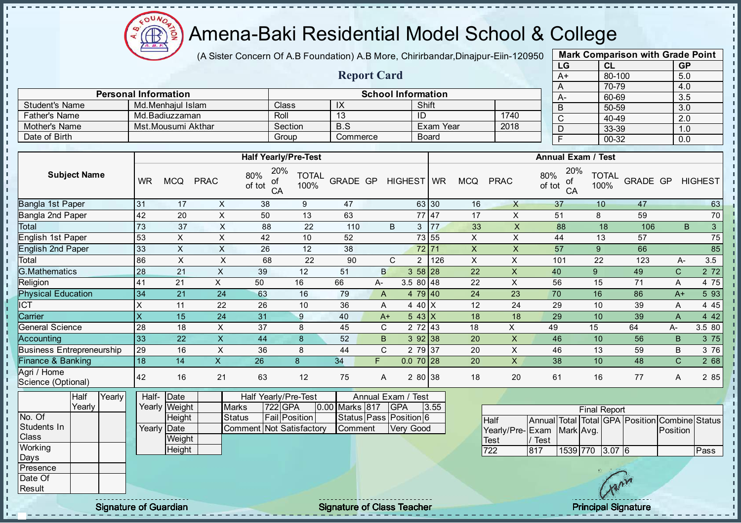$\mathbf{u}$ Æ ğ

# Amena-Baki Residential Model School & College

(A Sister Concern Of A.B Foundation) A.B More, Chirirbandar, Dinajpur-Eiin-120950

Report Card

|      | <b>Mark Comparison with Grade Point</b> |           |
|------|-----------------------------------------|-----------|
| LG   | CL                                      | <b>GP</b> |
| $A+$ | 80-100                                  | 5.0       |
| Α    | 70-79                                   | 4.0       |
| A-   | 60-69                                   | 3.5       |
| B    | 50-59                                   | 3.0       |
| C    | 40-49                                   | 2.0       |
| D    | 33-39                                   | 1.0       |
| F    | 00-32                                   | 0.0       |
|      |                                         |           |

|                                   |                 | <b>School Information</b><br><b>Personal Information</b> |                           |                                  |                      |                 |              | 60-69<br>$A-$                       |                   |                           |                                               |                                                          |                             | 3.5        |                  |                |
|-----------------------------------|-----------------|----------------------------------------------------------|---------------------------|----------------------------------|----------------------|-----------------|--------------|-------------------------------------|-------------------|---------------------------|-----------------------------------------------|----------------------------------------------------------|-----------------------------|------------|------------------|----------------|
| <b>Student's Name</b>             |                 | Md.Menhajul Islam                                        |                           | Class                            |                      | $\overline{IX}$ |              |                                     | Shift             |                           |                                               | B                                                        | 50-59                       |            | $\overline{3.0}$ |                |
| <b>Father's Name</b>              |                 | Md.Badiuzzaman                                           |                           | Roll                             |                      | $\overline{13}$ |              | ID                                  |                   |                           | 1740                                          | $\overline{C}$                                           | 40-49                       |            | $\overline{2.0}$ |                |
| Mother's Name                     |                 | Mst.Mousumi Akthar                                       |                           | Section                          |                      | B.S             |              |                                     | <b>Exam Year</b>  |                           | 2018                                          | D                                                        | 33-39                       |            | 1.0              |                |
| Date of Birth                     |                 |                                                          |                           | Group                            |                      | Commerce        |              |                                     | <b>Board</b>      |                           |                                               | E                                                        | $00 - 32$                   |            | 0.0              |                |
|                                   |                 |                                                          |                           |                                  |                      |                 |              |                                     |                   |                           |                                               |                                                          |                             |            |                  |                |
|                                   |                 |                                                          |                           | <b>Half Yearly/Pre-Test</b>      |                      |                 |              |                                     |                   |                           |                                               |                                                          | <b>Annual Exam / Test</b>   |            |                  |                |
| <b>Subject Name</b>               | <b>WR</b>       | <b>MCQ</b>                                               | <b>PRAC</b>               | 20%<br>80%<br>οf<br>of tot<br>CA | <b>TOTAL</b><br>100% | <b>GRADE GP</b> |              | HIGHEST WR                          |                   | <b>MCQ</b>                | <b>PRAC</b>                                   | 80%<br>οf<br>of tot<br>CA                                | 20%<br><b>TOTAL</b><br>100% | GRADE GP   |                  | <b>HIGHEST</b> |
| Bangla 1st Paper                  | 31              | 17                                                       | X                         | 38                               | $\boldsymbol{9}$     | 47              |              |                                     | 63 30             | 16                        | $\mathsf{X}$                                  | 37                                                       | 10                          | 47         |                  | 63             |
| Bangla 2nd Paper                  | 42              | 20                                                       | $\boldsymbol{\mathsf{X}}$ | 50                               | 13                   | 63              |              |                                     | 77 47             | 17                        | $\mathsf{X}$                                  | 51                                                       | 8                           | 59         |                  | 70             |
| Total                             | 73              | 37                                                       | $\boldsymbol{\mathsf{X}}$ | 88                               | 22                   | 110             |              | B                                   | 3 77              | 33                        | $\pmb{\times}$                                | 88                                                       | 18                          | 106        | B                | $\mathbf{3}$   |
| <b>English 1st Paper</b>          | 53              | X                                                        | $\times$                  | 42                               | 10                   | 52              |              |                                     | 73 55             | $\pmb{\times}$            | X                                             | 44                                                       | 13                          | 57         |                  | 75             |
| <b>English 2nd Paper</b>          | 33              | $\mathsf{X}$                                             | $\boldsymbol{\mathsf{X}}$ | 26                               | 12                   | 38              |              |                                     | $72\overline{71}$ | $\pmb{\times}$            | $\boldsymbol{\mathsf{X}}$                     | 57                                                       | 9                           | 66         |                  | 85             |
| Total                             | 86              | $\pmb{\times}$                                           | X                         | 68                               | 22                   | 90              |              | C<br>$\overline{c}$                 | 126               | $\boldsymbol{\mathsf{X}}$ | X                                             | 101                                                      | 22                          | 123        | А-               | 3.5            |
| <b>G.Mathematics</b>              | $\overline{28}$ | $\overline{21}$                                          | $\mathsf X$               | 39                               | 12                   | 51              | $\mathsf{B}$ | 358 28                              |                   | 22                        | $\mathsf X$                                   | 40                                                       | 9                           | 49         | $\mathsf C$      | 272            |
| Religion                          | 41              | 21                                                       | X                         | 50                               | 16                   | 66              | А-           | $3.580$ 48                          |                   | 22                        | $\sf X$                                       | 56                                                       | 15                          | 71         | А                | 4 75           |
| <b>Physical Education</b>         | 34              | $\overline{21}$                                          | 24                        | 63                               | 16                   | 79              | $\mathsf{A}$ | 4 79 40                             |                   | 24                        | $\overline{23}$                               | $\overline{70}$                                          | 16                          | 86         | $A+$             | 5 93           |
| <b>ICT</b>                        | $\times$        | 11                                                       | 22                        | 26                               | 10                   | 36              | A            | 4 40 $X$                            |                   | 12                        | 24                                            | 29                                                       | 10                          | 39         | А                | 4 4 5          |
| Carrier                           | $\mathsf{X}$    | 15                                                       | 24                        | 31                               | 9                    | 40              | $A+$         | $543 \mid X$                        |                   | 18                        | 18                                            | 29                                                       | 10                          | 39         | A                | 4 4 2          |
| <b>General Science</b>            | 28              | 18                                                       | $\pmb{\times}$            | 37                               | 8                    | 45              | C            | 2 72 43                             |                   | 18                        | X                                             | 49                                                       | 15                          | 64         | A-               | 3.5 80         |
| <b>Accounting</b>                 | 33              | 22                                                       | $\overline{\mathsf{x}}$   | 44                               | 8                    | 52              | B            | 392 38                              |                   | 20                        | $\boldsymbol{\mathsf{X}}$                     | 46                                                       | 10                          | 56         | B                | 3 75           |
| <b>Business Entrepreneurship</b>  | 29              | 16                                                       | $\boldsymbol{\mathsf{X}}$ | 36                               | 8                    | 44              | $\mathsf{C}$ | 279 37                              |                   | 20                        | $\mathsf X$                                   | 46                                                       | 13                          | 59         | B                | 3 76           |
| <b>Finance &amp; Banking</b>      | 18              | 14                                                       | $\mathsf{X}$              | 26                               | 8                    | 34              | F.           | $0.070$ 28                          |                   | 20                        | $\mathsf X$                                   | 38                                                       | 10                          | 48         | $\overline{C}$   | 2 68           |
| Agri / Home<br>Science (Optional) | 42              | 16                                                       | 21                        | 63                               | 12                   | 75              | A            | 2 80 38                             |                   | 18                        | 20                                            | 61                                                       | 16                          | 77         | A                | 2 85           |
| Half<br>Yearly<br>Yearly          | Half-           | Date<br>Yearly Weight                                    | <b>Marks</b>              | Half Yearly/Pre-Test<br>722 GPA  |                      | 0.00 Marks 817  |              | Annual Exam / Test<br><b>GPA</b>    | 3.55              |                           |                                               |                                                          | <b>Final Report</b>         |            |                  |                |
| No. Of<br>Students In<br>Class    |                 | Height<br>Yearly Date<br>Weight                          | <b>Status</b><br>Commen   | <b>Fail Position</b>             | Not Satisfactory     | Comment         |              | Status Pass Position 6<br>Very Good |                   |                           | <b>Half</b><br>Yearly/Pre-Exam<br><b>Test</b> | Annual Total Total GPA Position Combine Status<br>/ Test | Mark Avg.                   |            | Position         |                |
| Working                           |                 | Height                                                   |                           |                                  |                      |                 |              |                                     |                   |                           | 722                                           | 817                                                      | 1539 770 3.07 6             |            |                  | Pass           |
| Days<br>Presence                  |                 |                                                          |                           |                                  |                      |                 |              |                                     |                   |                           |                                               |                                                          |                             |            |                  |                |
| Date Of                           |                 |                                                          |                           |                                  |                      |                 |              |                                     |                   |                           |                                               |                                                          |                             | $\sqrt{2}$ |                  |                |
|                                   |                 |                                                          |                           |                                  |                      |                 |              |                                     |                   |                           |                                               |                                                          |                             |            |                  |                |

w

Result

- II  $\blacksquare$ 

J.

J.

× л  $\mathbf{I}$  $\mathbf{I}$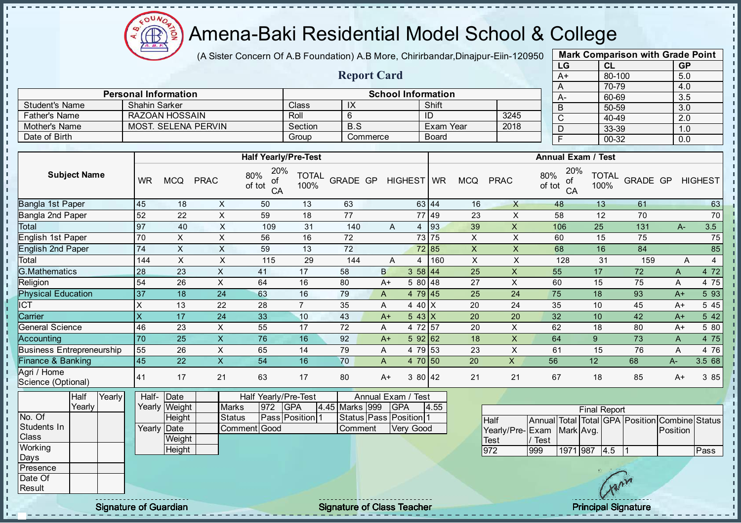Æ ğ

 $\mathbf{I}$ J.  $\mathbf{r}$ - II - II J. - II  $\mathbf{r}$ J. J.  $\blacksquare$ - II - II  $\mathbf{r}$ 

 $\blacksquare$ J.  $\blacksquare$  $\mathbf{I}$ J.  $\mathbf{r}$  $\blacksquare$  $\mathbf{I}$  $\mathbf{I}$ 

÷.

J. J.

п

п

T. J. T. J.  $\mathbf{I}$  $\mathbf{I}$ 

 $\mathbf{r}$ 

 $\mathbf{r}$  $\mathbf{I}$  $\mathbf{I}$ 

 $\mathbf{I}$ 

 $\mathbf{I}$  $\mathbf{I}$ 

 $\mathbf{I}$ 

 $\mathbf{r}$  $\mathbf{I}$  $\mathbf{I}$  $\mathbf{I}$ 

 $\mathbf{I}$ 

 $\mathbf{I}$ 

 $\mathbf{I}$ 

# Amena-Baki Residential Model School & College

(A Sister Concern Of A.B Foundation) A.B More, Chirirbandar, Dinajpur-Eiin-120950

Report Card

Personal Information School Information

Father's Name RAZOAN HOSSAIN Roll 6 ID 3245 Mother's Name MOST. SELENA PERVIN Section B.S Exam Year 2018

Student's Name Shahin Sarker Class IX Shift<br>
Father's Name RAZOAN HOSSAIN Roll 6 ID

Date of Birth Group Commerce Board

|                       | <b>Mark Comparison with Grade Point</b> |           |
|-----------------------|-----------------------------------------|-----------|
| LG                    | <b>CL</b>                               | <b>GP</b> |
| $A+$                  | 80-100                                  | 5.0       |
| A                     | 70-79                                   | 4.0       |
| A-                    | 60-69                                   | 3.5       |
| B                     | 50-59                                   | 3.0       |
| $\overline{\text{c}}$ | 40-49                                   | 2.0       |
| D                     | 33-39                                   | 1.0       |
|                       | 00-32                                   | 0.0       |
|                       |                                         |           |

п

п

 $\mathbf{I}$ 

 $\mathbf{I}$ 

r.

л

h,

 $\mathbf{I}$ 

 $\mathbf{I}$ 

 $\mathbf{I}$ 

 $\mathbf{I}$ 

 $\mathbf{I}$ 

 $\mathbf{I}$ 

 $\mathbf{I}$ 

 $\mathbf{I}$ п

|                                   |                     |                              |                         |               |                           | <b>Half Yearly/Pre-Test</b>      |                      |                                   |              |                    |           |      |             |                           |                     | <b>Annual Exam / Test</b> |                     |              |                                   |              |                |
|-----------------------------------|---------------------|------------------------------|-------------------------|---------------|---------------------------|----------------------------------|----------------------|-----------------------------------|--------------|--------------------|-----------|------|-------------|---------------------------|---------------------|---------------------------|---------------------|--------------|-----------------------------------|--------------|----------------|
|                                   | <b>Subject Name</b> |                              | <b>WR</b>               | <b>MCQ</b>    | <b>PRAC</b>               | 20%<br>80%<br>of<br>of tot<br>CA | <b>TOTAL</b><br>100% | <b>GRADE GP</b>                   |              | HIGHEST WR         |           |      | <b>MCQ</b>  | <b>PRAC</b>               | 80%<br>of tot       | 20%<br>οf<br>CA           | 100%                | <b>TOTAL</b> | <b>GRADE GP</b>                   |              | <b>HIGHEST</b> |
| Bangla 1st Paper                  |                     |                              | 45                      | 18            | X                         | 50                               | 13                   | 63                                |              |                    | 63 44     |      | 16          | X                         |                     | 48                        | 13                  |              | 61                                |              | 63             |
| Bangla 2nd Paper                  |                     |                              | 52                      | 22            | $\times$                  | 59                               | 18                   | 77                                |              |                    | 77   49   |      | 23          | X                         |                     | 58                        | 12                  |              | 70                                |              | 70             |
| Total                             |                     |                              | 97                      | 40            | $\boldsymbol{\mathsf{X}}$ | 109                              | 31                   | 140                               |              | A                  | 4         | 93   | 39          | $\mathsf X$               |                     | 106                       | 25                  |              | 131                               | $A-$         | 3.5            |
| English 1st Paper                 |                     |                              | 70                      | $\sf X$       | $\sf X$                   | 56                               | 16                   | 72                                |              |                    | 73 75     |      | $\mathsf X$ | $\mathsf X$               |                     | 60                        | 15                  |              | 75                                |              | 75             |
| <b>English 2nd Paper</b>          |                     |                              | 74                      | $\mathsf{X}$  | $\pmb{\times}$            | 59                               | 13                   | 72                                |              |                    | 72 85     |      | $\mathsf X$ | $\mathsf X$               |                     | 68                        | 16                  |              | 84                                |              | 85             |
| Total                             |                     |                              | 144                     | $\times$      | $\sf X$                   | 115                              | 29                   | 144                               |              | $\overline{A}$     | 4         | 160  | $\mathsf X$ | $\times$                  |                     | 128                       |                     | 31           | 159                               | A            | $\overline{4}$ |
| G.Mathematics                     |                     |                              | 28                      | 23            | $\mathsf X$               | 41                               | 17                   | 58                                | $\sf B$      |                    | 358 44    |      | 25          | $\mathsf X$               |                     | 55                        | 17                  |              | 72                                | $\mathsf{A}$ | 4 72           |
| Religion                          |                     |                              | 54                      | 26            | $\sf X$                   | 64                               | 16                   | 80                                |              | $A+$               | 5 80 48   |      | 27          | $\sf X$                   |                     | 60                        | 15                  |              | 75                                | A            | 4 75           |
| <b>Physical Education</b>         |                     |                              | 37                      | 18            | 24                        | 63                               | 16                   | 79                                | A            |                    | 4 79 45   |      | 25          | 24                        |                     | 75                        | 18                  |              | 93                                | $A+$         | 5 9 3          |
| ICT                               |                     |                              | $\times$                | 13            | 22                        | 28                               | $\overline{7}$       | 35                                | A            |                    | 4 40 X    |      | 20          | 24                        |                     | 35                        | 10                  |              | 45                                | $A+$         | 5 4 5          |
| Carrier                           |                     |                              | $\overline{\mathsf{x}}$ | 17            | $\overline{24}$           | 33                               | 10                   | 43                                |              | $A+$               | $543$ X   |      | 20          | 20                        |                     | 32                        | 10                  |              | 42                                | $A+$         | 5 4 2          |
| <b>General Science</b>            |                     |                              | 46                      | 23            | $\mathsf X$               | 55                               | 17                   | 72                                | Α            |                    | 4 72 57   |      | 20          | $\boldsymbol{\mathsf{X}}$ |                     | 62                        | 18                  |              | 80                                | $A+$         | 5 80           |
| Accounting                        |                     |                              | 70                      | 25            | $\mathsf X$               | 76                               | 16                   | 92                                |              | $A+$               | 592 62    |      | 18          | $\mathsf{X}$              |                     | 64                        | 9                   |              | 73                                | A            | 4 75           |
| <b>Business Entrepreneurship</b>  |                     |                              | 55                      | 26            | X                         | 65                               | 14                   | 79                                | A            |                    | 4 79 53   |      | 23          | $\times$                  |                     | 61                        | 15                  |              | 76                                | A            | 4 76           |
| Finance & Banking                 |                     |                              | 45                      | 22            | $\mathsf X$               | 54                               | 16                   | 70                                | $\mathsf{A}$ |                    | 4 70 50   |      | 20          | $\pmb{\times}$            | 56                  |                           | 12                  |              | 68                                | A-           | 3.5 68         |
| Agri / Home<br>Science (Optional) |                     |                              | 41                      | 17            | 21                        | 63                               | 17                   | 80                                |              | $A+$               | 3 80 42   |      | 21          | 21                        |                     | 67                        | 18                  |              | 85                                | $A+$         | 385            |
|                                   | Half                | Yearly                       |                         | Half- Date    |                           | Half Yearly/Pre-Test             |                      |                                   |              | Annual Exam / Test |           |      |             |                           |                     |                           |                     |              |                                   |              |                |
|                                   | Yearly              |                              |                         | Yearly Weight | <b>Marks</b>              | 972                              | <b>GPA</b>           | 4.45 Marks 999                    |              | <b>GPA</b>         |           | 4.55 |             |                           |                     |                           | <b>Final Report</b> |              |                                   |              |                |
| No. Of                            |                     |                              |                         | Height        | <b>Status</b>             |                                  | Pass Position 1      | Status Pass Position 1            |              |                    |           |      |             | <b>Half</b>               | <b>Annual</b> Total |                           |                     |              | Total GPA Position Combine Status |              |                |
| Students In                       |                     |                              |                         | Yearly Date   |                           | Comment Good                     |                      | Comment                           |              |                    | Very Good |      |             | Yearly/Pre-Exam           |                     | Mark Avg.                 |                     |              |                                   | Position     |                |
| Class                             |                     |                              |                         | Weight        |                           |                                  |                      |                                   |              |                    |           |      |             | <b>Test</b>               | Test                |                           |                     |              |                                   |              |                |
| Working                           |                     |                              |                         | Height        |                           |                                  |                      |                                   |              |                    |           |      |             | 972                       | 999                 | 1971 987                  |                     | 4.5          | $\overline{11}$                   |              | Pass           |
| Days<br>Presence                  |                     |                              |                         |               |                           |                                  |                      |                                   |              |                    |           |      |             |                           |                     |                           |                     |              |                                   |              |                |
|                                   |                     |                              |                         |               |                           |                                  |                      |                                   |              |                    |           |      |             |                           |                     |                           |                     |              |                                   |              |                |
| Date Of<br>Result                 |                     |                              |                         |               |                           |                                  |                      |                                   |              |                    |           |      |             |                           |                     |                           |                     |              |                                   |              |                |
|                                   |                     |                              |                         |               |                           |                                  |                      |                                   |              |                    |           |      |             |                           |                     |                           |                     |              |                                   |              |                |
|                                   |                     | <b>Signature of Guardian</b> |                         |               |                           |                                  |                      | <b>Signature of Class Teacher</b> |              |                    |           |      |             |                           |                     |                           |                     |              | <b>Principal Signature</b>        |              |                |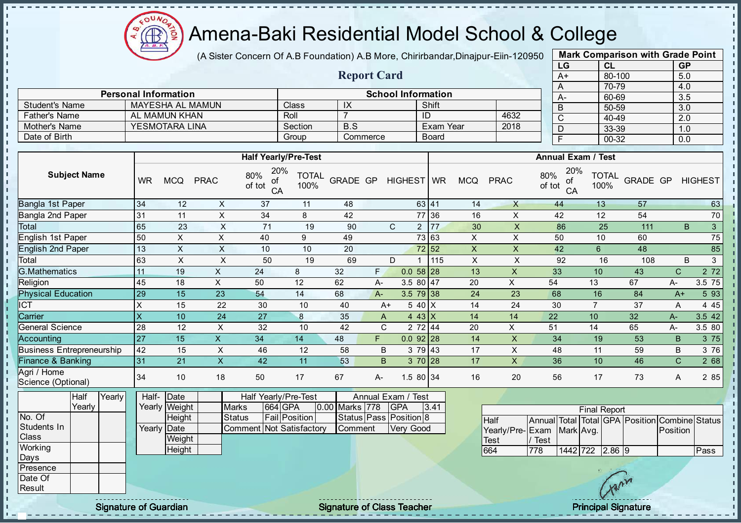

- II

 $\mathbf{r}$ 

J.  $\blacksquare$ J. - II

J. a.

п

п

h J. T.

J.  $\mathbf{I}$ 

J.

 $\mathbf{I}$ **II**  $\mathbf{I}$ J.  $\blacksquare$  $\mathbf{I}$  $\mathbf{I}$  $\mathbf{I}$  $\mathbf{u}$  $\mathbf{I}$  $\mathbf{I}$  $\mathbf{I}$  $\mathbf{I}$  $\mathbf{I}$ 

### Amena-Baki Residential Model School & College

(A Sister Concern Of A.B Foundation) A.B More, Chirirbandar, Dinajpur-Eiin-120950

Report Card

Personal Information and The School Information

Father's Name AL MAMUN KHAN Roll 7 ID 4632

Student's Name MAYESHA AL MAMUN Class IX Shift<br>
Father's Name AL MAMUN KHAN Roll 7

|      | <b>Mark Comparison with Grade Point</b> |           |
|------|-----------------------------------------|-----------|
| LG   | <b>CL</b>                               | <b>GP</b> |
| $A+$ | 80-100                                  | 5.0       |
| A    | 70-79                                   | 4.0       |
| A-   | 60-69                                   | 3.5       |
| B    | 50-59                                   | 3.0       |
| C    | 40-49                                   | 2.0       |
| D    | 33-39                                   | 1.0       |
| F    | 00-32                                   | 0.0       |
|      |                                         |           |

п

п

 $\mathbf{I}$ 

r.

п

J.

h,

| Mother's Name                     |                           | <b>YESMOTARA LINA</b> |                           |                                       | Section              | B.S            |              |                        | <b>Exam Year</b>      |                           | 2018                      |               | $\overline{D}$  | 33-39                     |                                                | 1.0            |                |
|-----------------------------------|---------------------------|-----------------------|---------------------------|---------------------------------------|----------------------|----------------|--------------|------------------------|-----------------------|---------------------------|---------------------------|---------------|-----------------|---------------------------|------------------------------------------------|----------------|----------------|
| Date of Birth                     |                           |                       |                           |                                       | Group                |                | Commerce     |                        | <b>Board</b>          |                           |                           |               | $\overline{F}$  | $00 - 32$                 |                                                | 0.0            |                |
|                                   |                           |                       |                           |                                       |                      |                |              |                        |                       |                           |                           |               |                 |                           |                                                |                |                |
|                                   |                           |                       |                           | <b>Half Yearly/Pre-Test</b>           |                      |                |              |                        |                       |                           |                           |               |                 | <b>Annual Exam / Test</b> |                                                |                |                |
| <b>Subject Name</b>               | <b>WR</b>                 | <b>MCQ</b>            | <b>PRAC</b>               | 20%<br>80%<br>of<br>of tot<br>CA      | <b>TOTAL</b><br>100% | GRADE GP       |              | HIGHEST WR             |                       | <b>MCQ</b>                | <b>PRAC</b>               | 80%<br>of tot | 20%<br>οf<br>CA | <b>TOTAL</b><br>100%      | <b>GRADE GP</b>                                |                | <b>HIGHEST</b> |
| Bangla 1st Paper                  | 34                        | 12                    | X                         | 37                                    | 11                   | 48             |              |                        | 63 41                 | 14                        | $\mathsf{X}$              |               | 44              | 13                        | 57                                             |                | 63             |
| Bangla 2nd Paper                  | 31                        | 11                    | $\mathsf{X}$              | 34                                    | 8                    | 42             |              |                        | 77 36                 | 16                        | X                         |               | 42              | 12                        | 54                                             |                | 70             |
| Total                             | 65                        | 23                    | $\boldsymbol{\mathsf{X}}$ | 71                                    | 19                   | 90             |              | $\mathsf{C}$           | 2 77                  | 30                        | $\boldsymbol{\mathsf{X}}$ |               | 86              | 25                        | 111                                            | B              | 3 <sup>1</sup> |
| English 1st Paper                 | 50                        | $\times$              | $\sf X$                   | 40                                    | 9                    | 49             |              |                        | 73 63                 | $\pmb{\times}$            | X                         |               | 50              | 10                        | 60                                             |                | 75             |
| <b>English 2nd Paper</b>          | 13                        | $\pmb{\times}$        | $\boldsymbol{\mathsf{X}}$ | 10                                    | 10                   | 20             |              |                        | 72 52                 | $\boldsymbol{\mathsf{X}}$ | X                         |               | 42              | $6\phantom{1}$            | 48                                             |                | 85             |
| Total                             | 63                        | $\times$              | $\times$                  | 50                                    | 19                   | 69             |              | D.                     | 115<br>$\overline{1}$ | $\boldsymbol{\mathsf{X}}$ | $\mathsf X$               |               | 92              | 16                        | 108                                            | B              | 3 <sup>1</sup> |
| <b>G.Mathematics</b>              | 11                        | 19                    | $\mathsf{X}$              | 24                                    | 8                    | 32             | F.           | 0.0                    | 58 28                 | 13                        | $\mathsf{x}$              | 33            |                 | 10                        | 43                                             | $\mathsf{C}$   | 2 7 2          |
| Religion                          | 45                        | 18                    | $\pmb{\times}$            | 50                                    | 12                   | 62             | A-           |                        | 3.5 80 $47$           | 20                        | $\mathsf{X}$              | 54            |                 | 13                        | 67                                             | $A-$           | 3.5 75         |
| <b>Physical Education</b>         | 29                        | 15                    | $\overline{23}$           | 54                                    | 14                   | 68             | A-           |                        | $3.5$ 79 38           | 24                        | 23                        | 68            |                 | 16                        | 84                                             | $A+$           | 5 9 3          |
| $\overline{ICT}$                  | Χ                         | 15                    | 22                        | 30                                    | 10                   | 40             |              | $A+$                   | 5 40 X                | 14                        | 24                        | 30            |                 | $\overline{7}$            | 37                                             | Α              | 4 4 5          |
| Carrier                           | $\boldsymbol{\mathsf{X}}$ | 10                    | $\overline{24}$           | $\overline{27}$                       | $\boldsymbol{8}$     | 35             | A            |                        | 4 43 $X$              | 14                        | 14                        | 22            |                 | 10                        | 32                                             | A-             | 3.5 42         |
| <b>General Science</b>            | 28                        | 12                    | $\times$                  | 32                                    | 10                   | 42             | $\mathsf{C}$ |                        | 2 72 44               | 20                        | $\mathsf{X}$              | 51            |                 | 14                        | 65                                             | А-             | 3.5 80         |
| Accounting                        | 27                        | 15                    | $\mathsf{X}$              | 34                                    | 14                   | 48             | F            |                        | $0.092$ 28            | 14                        | $\mathsf X$               | 34            |                 | 19                        | 53                                             | B              | 3 75           |
| <b>Business Entrepreneurship</b>  | 42                        | 15                    | $\times$                  | 46                                    | 12                   | 58             | B            |                        | 3 79 43               | 17                        | X                         | 48            |                 | 11                        | 59                                             | B              | 3 76           |
| Finance & Banking                 | 31                        | 21                    | $\overline{X}$            | 42                                    | 11                   | 53             | B            |                        | 3 70 28               | 17                        | $\pmb{\times}$            | 36            |                 | 10                        | 46                                             | $\overline{C}$ | 2 68           |
| Agri / Home<br>Science (Optional) | 34                        | 10                    | 18                        | 50                                    | 17                   | 67             | $A-$         |                        | $1.580$ 34            | 16                        | 20                        | 56            |                 | 17                        | 73                                             | A              | 2 85           |
| $\overline{Y}$ early<br>Half      | Half-                     | Date                  |                           | Half Yearly/Pre-Test                  |                      |                |              | Annual Exam / Test     |                       |                           |                           |               |                 |                           |                                                |                |                |
| Yearly                            |                           | Yearly Weight         |                           | 664 GPA<br><b>Marks</b>               |                      | 0.00 Marks 778 |              | <b>GPA</b>             | 3.41                  |                           |                           |               |                 | <b>Final Report</b>       |                                                |                |                |
| No. Of                            |                           | Height                |                           | <b>Fail Position</b><br><b>Status</b> |                      |                |              | Status Pass Position 8 |                       |                           | <b>Half</b>               |               |                 |                           | Annual Total Total GPA Position Combine Status |                |                |
| Students In                       |                           | Yearly Date           |                           | <b>Comment Not Satisfactory</b>       |                      | Comment        |              | Very Good              |                       |                           | Yearly/Pre-               | Exam          | Mark Avg.       |                           |                                                | Position       |                |
| Class                             |                           | Weight                |                           |                                       |                      |                |              |                        |                       |                           | Test                      | / Test        |                 |                           |                                                |                |                |
| Working<br>Days                   |                           | Height                |                           |                                       |                      |                |              |                        |                       |                           | 664                       | 778           |                 | 1442 722 2.86 9           |                                                |                | Pass           |
| Presence                          |                           |                       |                           |                                       |                      |                |              |                        |                       |                           |                           |               |                 |                           |                                                |                |                |
| Date Of                           |                           |                       |                           |                                       |                      |                |              |                        |                       |                           |                           |               |                 |                           |                                                |                |                |
| Result                            |                           |                       |                           |                                       |                      |                |              |                        |                       |                           |                           |               |                 | Garn                      |                                                |                |                |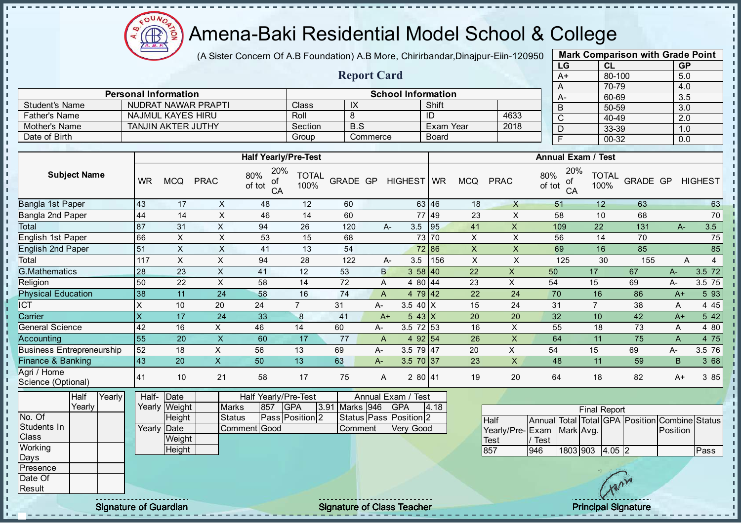

 $\mathbf{I}$ J.  $\mathbf{r}$ 

J. - II  $\mathbf{r}$ J.  $\mathbf{I}$  $\mathbf{r}$ J. - II

J.  $\mathbf{I}$ J.  $\mathbf{r}$  $\mathbf{I}$  $\mathbf{r}$  $\mathbf{I}$  $\mathbf{I}$  $\mathbf{I}$  $\mathbf{I}$  $\mathbf{I}$ J. þ.

T.

T. J. J. T.  $\mathbf{I}$  $\mathbf{I}$ 

 $\mathbf{I}$ 

 $\mathbf{I}$  $\mathbf{I}$ 

 $\mathbf{I}$ 

 $\mathbf{I}$ 

 $\mathbf{I}$  $\mathbf{I}$ 

 $\mathbf{I}$ 

 $\mathbf{I}$  $\mathbf{r}$  $\mathbf{I}$ 

 $\mathbb T$ 

 $\mathbb T$ 

 $\mathbf{I}$ 

 $\mathbf{I}$ 

### Amena-Baki Residential Model School & College

(A Sister Concern Of A.B Foundation) A.B More, Chirirbandar, Dinajpur-Eiin-120950

Report Card

Personal Information and Theorem School Information

Father's Name NAJMUL KAYES HIRU Roll 8 ID 4633 Mother's Name TANJIN AKTER JUTHY Section B.S Sextion B.S Bram Year 2018

Student's Name | NUDRAT NAWAR PRAPTI | Class | IX | Shift

|      | <b>Mark Comparison with Grade Point</b> |           |
|------|-----------------------------------------|-----------|
| LG   | <b>CL</b>                               | <b>GP</b> |
| $A+$ | 80-100                                  | 5.0       |
| А    | 70-79                                   | 4.0       |
| А-   | 60-69                                   | 3.5       |
| B    | 50-59                                   | 3.0       |
| C    | 40-49                                   | 2.0       |
| D    | 33-39                                   | 1.0       |
|      | 00-32                                   | 0.0       |
|      |                                         |           |

 $\mathbf{I}$ 

r.

J.

h,

п

 $\mathbf{I}$ 

 $\mathbf{I}$ 

 $\mathbf{I}$ 

 $\mathbf{I}$ 

 $\mathbf{I}$ 

 $\mathbf{I}$ 

 $\mathbf{I}$ 

 $\mathbf{I}$ 

 $\mathbf{I}$ 

| Date of Birth                     |        |        |                           |                              |                         |                                                                 | Group                |                 | Commerce |                                   | <b>Board</b> |                |                           |               | $\overline{F}$  | $00 - 32$                                         |                                                | 0.0            |                |
|-----------------------------------|--------|--------|---------------------------|------------------------------|-------------------------|-----------------------------------------------------------------|----------------------|-----------------|----------|-----------------------------------|--------------|----------------|---------------------------|---------------|-----------------|---------------------------------------------------|------------------------------------------------|----------------|----------------|
|                                   |        |        |                           |                              |                         |                                                                 |                      |                 |          |                                   |              |                |                           |               |                 |                                                   |                                                |                |                |
| <b>Subject Name</b>               |        |        | <b>WR</b>                 | <b>MCQ</b>                   | <b>PRAC</b>             | <b>Half Yearly/Pre-Test</b><br>20%<br>80%<br>οf<br>of tot<br>CA | <b>TOTAL</b><br>100% | GRADE GP        |          | HIGHEST WR                        |              | <b>MCQ</b>     | <b>PRAC</b>               | 80%<br>of tot | 20%<br>οf<br>CA | <b>Annual Exam / Test</b><br><b>TOTAL</b><br>100% | <b>GRADE GP</b>                                |                | <b>HIGHEST</b> |
| Bangla 1st Paper                  |        |        | 43                        | 17                           | X                       | 48                                                              | 12                   | 60              |          |                                   | 63 46        | 18             | $\boldsymbol{\mathsf{X}}$ |               | 51              | 12                                                | 63                                             |                | 63             |
| Bangla 2nd Paper                  |        |        | 44                        | 14                           | $\sf X$                 | 46                                                              | 14                   | 60              |          |                                   | 77 49        | 23             | $\pmb{\times}$            |               | 58              | 10                                                | 68                                             |                | 70             |
| Total                             |        |        | 87                        | 31                           | $\pmb{\times}$          | 94                                                              | 26                   | 120             |          | 3.5<br>A-                         | 95           | 41             | X                         |               | 109             | 22                                                | 131                                            | $A-$           | 3.5            |
| English 1st Paper                 |        |        | 66                        | $\times$                     | $\sf X$                 | 53                                                              | 15                   | 68              |          |                                   | 73 70        | $\pmb{\times}$ | $\pmb{\times}$            |               | 56              | 14                                                | 70                                             |                | 75             |
| English 2nd Paper                 |        |        | 51                        | $\pmb{\times}$               | $\pmb{\times}$          | 41                                                              | 13                   | 54              |          |                                   | 72 86        | $\mathsf X$    | $\mathsf X$               |               | 69              | 16                                                | 85                                             |                | 85             |
| Total                             |        |        | 117                       | $\pmb{\times}$               | $\mathsf X$             | 94                                                              | 28                   | 122             |          | 3.5<br>A-                         | 156          | $\mathsf X$    | $\pmb{\times}$            |               | 125             | 30                                                | 155                                            | A              | $\overline{4}$ |
| G.Mathematics                     |        |        | 28                        | 23                           | $\mathsf X$             | 41                                                              | 12                   | 53              |          | B                                 | 358 40       | 22             | $\boldsymbol{\mathsf{X}}$ | 50            |                 | 17                                                | 67                                             | $A-$           | $3.5$ 72       |
| Religion                          |        |        | 50                        | 22                           | $\mathsf{x}$            | 58                                                              | 14                   | 72              |          | 4 80 44<br>A                      |              | 23             | X                         | 54            |                 | 15                                                | 69                                             | A-             | 3.5 75         |
| <b>Physical Education</b>         |        |        | 38                        | 11                           | 24                      | 58                                                              | 16                   | 74              |          | A                                 | 4 79 42      | 22             | 24                        | 70            |                 | 16                                                | 86                                             | $A+$           | 5 93           |
| <b>ICT</b>                        |        |        | $\mathsf X$               | 10                           | 20                      | 24                                                              | $\overline{7}$       | 31              | A-       | 3.5 40 $\overline{X}$             |              | 15             | 24                        | 31            |                 | $\overline{7}$                                    | 38                                             | A              | 4 4 5          |
| Carrier                           |        |        | $\boldsymbol{\mathsf{X}}$ | 17                           | 24                      | 33                                                              | $\bf 8$              | 41              |          | $543$ X<br>$A+$                   |              | 20             | 20                        | 32            |                 | 10                                                | 42                                             | $A+$           | 5 4 2          |
| <b>General Science</b>            |        |        | 42                        | 16                           | X                       | 46                                                              | 14                   | 60              | А-       | 3.5 72 53                         |              | 16             | $\mathsf X$               | 55            |                 | 18                                                | 73                                             | A              | 4 80           |
| Accounting                        |        |        | 55                        | 20                           | $\overline{\mathsf{X}}$ | 60                                                              | 17                   | $\overline{77}$ |          | $\boldsymbol{\mathsf{A}}$         | 4 92 54      | 26             | $\mathsf{X}$              | 64            |                 | 11                                                | $\overline{75}$                                | $\overline{A}$ | 4 75           |
| <b>Business Entrepreneurship</b>  |        |        | 52                        | 18                           | X                       | 56                                                              | 13                   | 69              | А-       | $3.5$ 79 47                       |              | 20             | $\mathsf{X}$              | 54            |                 | 15                                                | 69                                             | А-             | 3.5 76         |
| Finance & Banking                 |        |        | 43                        | 20                           | $\mathsf{x}$            | 50                                                              | 13                   | 63              | A-       | 3.5 70 37                         |              | 23             | $\boldsymbol{\mathsf{X}}$ | 48            |                 | 11                                                | 59                                             | B              | 3 68           |
| Agri / Home<br>Science (Optional) |        |        | 41                        | 10                           | 21                      | 58                                                              | 17                   | 75              |          | 280 41<br>A                       |              | 19             | 20                        | 64            |                 | 18                                                | 82                                             | A+             | 3 8 5          |
|                                   | Half   | Yearly | Half-                     | Date                         |                         | Half Yearly/Pre-Test                                            |                      |                 |          | Annual Exam / Test                |              |                |                           |               |                 |                                                   |                                                |                |                |
|                                   | Yearly |        |                           | Yearly Weight                | <b>Marks</b>            | 857                                                             | <b>GPA</b>           | 3.91 Marks 946  |          | <b>GPA</b>                        | 4.18         |                |                           |               |                 | <b>Final Report</b>                               |                                                |                |                |
| No. Of                            |        |        |                           | Height                       | <b>Status</b>           |                                                                 | Pass Position 2      |                 |          | Status Pass Position 2            |              |                | <b>Half</b>               |               |                 |                                                   | Annual Total Total GPA Position Combine Status |                |                |
| Students In                       |        |        |                           | Yearly Date                  |                         | <b>Comment</b> Good                                             |                      | Comment         |          | Very Good                         |              |                | Yearly/Pre-Exam Mark Avg. |               |                 |                                                   |                                                | Position       |                |
| Class                             |        |        |                           | Weight                       |                         |                                                                 |                      |                 |          |                                   |              |                | <b>Test</b>               | / Test        |                 |                                                   |                                                |                |                |
| Working<br>Days                   |        |        |                           | Height                       |                         |                                                                 |                      |                 |          |                                   |              |                | 857                       | 946           |                 | 1803 903 4.05 2                                   |                                                |                | Pass           |
| Presence                          |        |        |                           |                              |                         |                                                                 |                      |                 |          |                                   |              |                |                           |               |                 |                                                   |                                                |                |                |
| Date Of                           |        |        |                           |                              |                         |                                                                 |                      |                 |          |                                   |              |                |                           |               |                 |                                                   |                                                |                |                |
| Result                            |        |        |                           |                              |                         |                                                                 |                      |                 |          |                                   |              |                |                           |               |                 |                                                   |                                                |                |                |
|                                   |        |        |                           | <b>Signature of Guardian</b> |                         |                                                                 |                      |                 |          | <b>Signature of Class Teacher</b> |              |                |                           |               |                 | <b>Principal Signature</b>                        |                                                |                |                |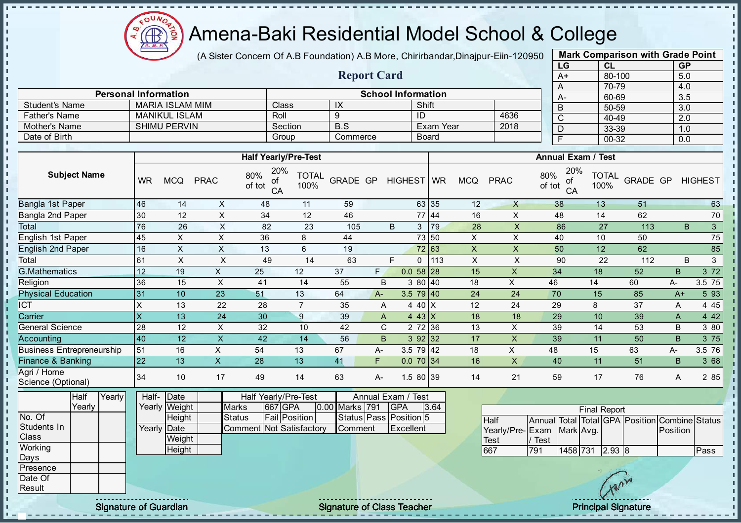

J. J. - II

- II  $\mathbf{r}$ 

J. J.  $\blacksquare$  $\mathbf{I}$ J.  $\mathbf{r}$  $\blacksquare$  $\mathbf{I}$ J. J. J. J. п T. T. J. J.  $\mathbf{I}$  $\mathbf{I}$  $\mathbf{I}$  $\mathbf{I}$  $\mathbf{I}$  $\mathbf{I}$ J.  $\blacksquare$  $\mathbf{I}$  $\mathbf{I}$  $\mathbf{I}$  $\mathbf{u}$  $\mathbf{I}$  $\mathbf{I}$ l ni  $\mathbb T$  $\mathbf{I}$ л

### Amena-Baki Residential Model School & College

(A Sister Concern Of A.B Foundation) A.B More, Chirirbandar, Dinajpur-Eiin-120950

Report Card

Personal Information School Information

Father's Name MANIKUL ISLAM Roll 9 ID 4636

Student's Name MARIA ISLAM MIM Class IX Shift<br>
Father's Name MANIKUL ISLAM Roll 9

| CL        | <b>GP</b> |
|-----------|-----------|
| 80-100    | 5.0       |
| 70-79     | 4.0       |
| 60-69     | 3.5       |
| 50-59     | 3.0       |
| 40-49     | 2.0       |
| 33-39     | 1.0       |
| $00 - 32$ | 0.0       |
|           |           |

| Mother's Name                     |                     |        |                 | <b>SHIMU PERVIN</b>       |                         | Section                                         |                      | B.S             |      |                                  |              | Exam Year    |                           | 2018                      | D                         |                             | 33-39                                          | 1.0            |                   |
|-----------------------------------|---------------------|--------|-----------------|---------------------------|-------------------------|-------------------------------------------------|----------------------|-----------------|------|----------------------------------|--------------|--------------|---------------------------|---------------------------|---------------------------|-----------------------------|------------------------------------------------|----------------|-------------------|
| Date of Birth                     |                     |        |                 |                           |                         | Group                                           |                      | Commerce        |      |                                  | <b>Board</b> |              |                           |                           | $\overline{F}$            |                             | $00 - 32$                                      | 0.0            |                   |
|                                   |                     |        |                 |                           |                         |                                                 |                      |                 |      |                                  |              |              |                           |                           |                           |                             |                                                |                |                   |
|                                   |                     |        |                 |                           |                         | <b>Half Yearly/Pre-Test</b>                     |                      |                 |      |                                  |              |              |                           |                           |                           | <b>Annual Exam / Test</b>   |                                                |                |                   |
|                                   | <b>Subject Name</b> |        | <b>WR</b>       | <b>MCQ</b>                | <b>PRAC</b>             | 20%<br>80%<br>οf<br>of tot<br>CA                | <b>TOTAL</b><br>100% | <b>GRADE GP</b> |      | <b>HIGHEST</b>                   |              | <b>WR</b>    | <b>MCQ</b>                | <b>PRAC</b>               | 80%<br>οf<br>of tot<br>CA | 20%<br><b>TOTAL</b><br>100% | <b>GRADE GP</b>                                |                | <b>HIGHEST</b>    |
| Bangla 1st Paper                  |                     |        | 46              | 14                        | X                       | 48                                              | 11                   | 59              |      |                                  | 63 35        |              | 12                        | $\sf X$                   | 38                        | 13                          | 51                                             |                | 63                |
| <b>Bangla 2nd Paper</b>           |                     |        | 30              | 12                        | X                       | 34                                              | 12                   | 46              |      |                                  | 77 44        |              | 16                        | X                         | 48                        | 14                          | 62                                             |                | 70                |
| Total                             |                     |        | 76              | 26                        | $\pmb{\times}$          | 82                                              | 23                   | 105             |      | B                                | 3 79         |              | 28                        | $\pmb{\times}$            | 86                        | 27                          | 113                                            | B              | $\overline{3}$    |
| English 1st Paper                 |                     |        | 45              | $\mathsf{X}$              | $\times$                | 36                                              | 8                    | 44              |      |                                  | 73 50        |              | X                         | $\mathsf{X}$              | 40                        | 10                          | 50                                             |                | 75                |
| <b>English 2nd Paper</b>          |                     |        | 16              | $\boldsymbol{\mathsf{X}}$ | $\mathsf X$             | 13                                              | $6\phantom{1}$       | 19              |      |                                  | 72 63        |              | $\pmb{\times}$            | $\mathsf{X}$              | 50                        | 12                          | 62                                             |                | 85                |
| Total                             |                     |        | 61              | $\mathsf{X}$              | $\pmb{\times}$          | 49                                              | 14                   | 63              |      | F.                               |              | $0 \mid 113$ | $\boldsymbol{\mathsf{X}}$ | $\pmb{\times}$            | 90                        | 22                          | 112                                            | B              | 3                 |
| G.Mathematics                     |                     |        | 12              | 19                        | $\mathsf{X}$            | 25                                              | 12                   | 37              | F.   |                                  | $0.058$ 28   |              | 15                        | $\boldsymbol{\mathsf{X}}$ | 34                        | 18                          | 52                                             | $\overline{B}$ | $\overline{3}$ 72 |
| Religion                          |                     |        | 36              | 15                        | $\times$                | 41                                              | 14                   | 55              | B    |                                  | 3 80 40      |              | 18                        | $\pmb{\times}$            | 46                        | 14                          | 60                                             | A-             | 3.5 75            |
| <b>Physical Education</b>         |                     |        | 31              | 10                        | 23                      | 51                                              | 13                   | 64              | $A-$ |                                  | $3.579$ 40   |              | 24                        | 24                        | 70                        | 15                          | 85                                             | $A+$           | 5 9 3             |
| <b>ICT</b>                        |                     |        | X               | 13                        | 22                      | 28                                              | $\overline{7}$       | 35              | A    |                                  | 4 40 $X$     |              | 12                        | 24                        | 29                        | 8                           | 37                                             | A              | 4 4 5             |
| Carrier                           |                     |        | X               | 13                        | 24                      | 30                                              | $\boldsymbol{9}$     | 39              | A    |                                  | 4 43 $X$     |              | 18                        | 18                        | 29                        | 10                          | 39                                             | A              | 4 4 2             |
| <b>General Science</b>            |                     |        | 28              | 12                        | X                       | 32                                              | 10                   | 42              | C    |                                  | 2 72 36      |              | 13                        | X                         | 39                        | 14                          | 53                                             | B              | 3 80              |
| Accounting                        |                     |        | 40              | 12                        | $\overline{\mathsf{X}}$ | 42                                              | 14                   | 56              | B    |                                  | 392 32       |              | 17                        | $\mathsf{X}$              | 39                        | 11                          | 50                                             | B              | 3 75              |
| <b>Business Entrepreneurship</b>  |                     |        | 51              | 16                        | $\mathsf{X}$            | 54                                              | 13                   | 67              | А-   |                                  | $3.579$ 42   |              | 18                        | $\pmb{\times}$            | 48                        | 15                          | 63                                             | А-             | 3.5 76            |
| Finance & Banking                 |                     |        | 22              | 13                        | $\mathsf{X}$            | 28                                              | 13                   | 41              | F.   |                                  | $0.070$ 34   |              | 16                        | $\mathsf{X}$              | 40                        | 11                          | 51                                             | $\overline{B}$ | 3 68              |
| Agri / Home<br>Science (Optional) |                     |        | 34              | 10                        | 17                      | 49                                              | 14                   | 63              | A-   |                                  | 1.5 80 39    |              | 14                        | 21                        | 59                        | 17                          | 76                                             | A              | 2 8 5             |
|                                   | Half<br>Yearly      | Yearly | Half-<br>Yearly | Date<br>Weight            |                         | Half Yearly/Pre-Test<br>667 GPA<br><b>Marks</b> |                      | 0.00 Marks 791  |      | Annual Exam / Test<br><b>GPA</b> |              | 3.64         |                           |                           |                           |                             |                                                |                |                   |
| No. Of                            |                     |        |                 | Height                    |                         | <b>Fail Position</b><br><b>Status</b>           |                      |                 |      | Status Pass Position 5           |              |              |                           | <b>Half</b>               |                           | <b>Final Report</b>         | Annual Total Total GPA Position Combine Status |                |                   |
| Students In<br><b>Class</b>       |                     |        | Yearly          | Date<br>Weight            |                         | Comment Not Satisfactory                        |                      | Comment         |      | Excellent                        |              |              |                           | Yearly/Pre-<br>Test       | Exam<br>/ Test            | Mark Avg.                   |                                                | Position       |                   |
| Working                           |                     |        |                 | Height                    |                         |                                                 |                      |                 |      |                                  |              |              |                           | 667                       | 791                       | 1458 731 2.93 8             |                                                |                | Pass              |
| Days<br>Presence                  |                     |        |                 |                           |                         |                                                 |                      |                 |      |                                  |              |              |                           |                           |                           |                             |                                                |                |                   |
|                                   |                     |        |                 |                           |                         |                                                 |                      |                 |      |                                  |              |              |                           |                           |                           |                             |                                                |                |                   |
| Date Of<br>Result                 |                     |        |                 |                           |                         |                                                 |                      |                 |      |                                  |              |              |                           |                           |                           |                             | 1 xan                                          |                |                   |

Signature of Guardian Signature of Class Teacher Principal Signature of Class Teacher Principal Signature

 $\mathcal{U}$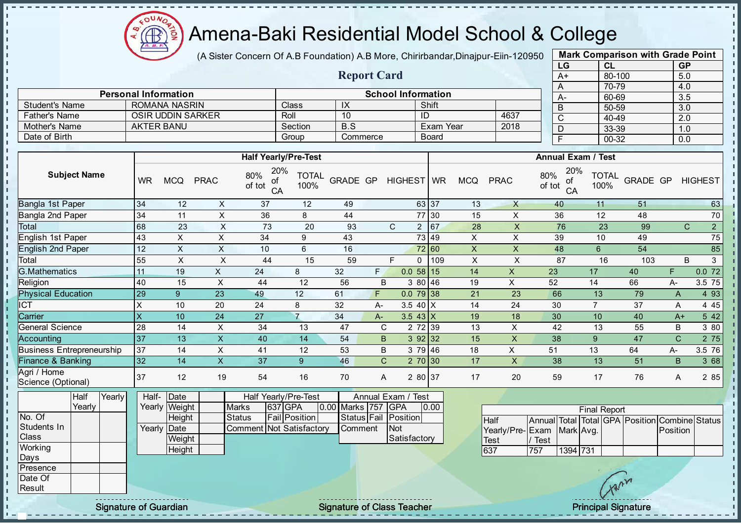Æ

# Amena-Baki Residential Model School & College

(A Sister Concern Of A.B Foundation) A.B More, Chirirbandar, Dinajpur-Eiin-120950

Report Card

|    | <b>Mark Comparison with Grade Point</b> |           |
|----|-----------------------------------------|-----------|
| LG | CL                                      | <b>GP</b> |
| A+ | 80-100                                  | 5.0       |
| A  | 70-79                                   | 4.0       |
| А- | 60-69                                   | 3.5       |
| B  | 50-59                                   | 3.0       |
| C  | 40-49                                   | 2.0       |
| D  | 33-39                                   | 1.0       |
| F  | 00-32                                   | 0.0       |
|    |                                         |           |

|                     |                                                |                             |                           |                           |                            |     | A                         | 70-79           |
|---------------------|------------------------------------------------|-----------------------------|---------------------------|---------------------------|----------------------------|-----|---------------------------|-----------------|
|                     | <b>Personal Information</b>                    |                             |                           | <b>School Information</b> |                            |     | $A-$                      | 60-69           |
| Student's Name      | ROMANA NASRIN                                  | Class                       | IX                        | Shift                     |                            |     |                           | 50-59           |
| Father's Name       | <b>OSIR UDDIN SARKER</b>                       | Roll                        | 10                        | ID                        | 4637                       |     | $\sim$                    | 40-49           |
| Mother's Name       | <b>AKTER BANU</b>                              | Section                     | B.S                       | Exam Year                 | 2018                       |     |                           | 33-39           |
| Date of Birth       |                                                | Group                       | Commerce                  | <b>Board</b>              |                            |     |                           | 00-32           |
|                     |                                                |                             |                           |                           |                            |     |                           |                 |
|                     |                                                | <b>Half Yearly/Pre-Test</b> |                           |                           |                            |     | <b>Annual Exam / Test</b> |                 |
| <b>Subject Name</b> | 80%<br>$\mathbf{11}$<br><b>DD</b> <sup>1</sup> | 20%                         | TOTAL ORAPE OR ULOUFOT WP | $\cdots$                  | <sub>DD</sub> <sup>2</sup> | 80% | 20%                       | TOTAL $_{\cap}$ |

| <b>Subject Name</b>               | <b>WR</b> | <b>MCQ</b> | <b>PRAC</b> | 80%<br>20/0<br>of<br>of tot<br>CA | TOTAL<br>100%  | <b>GRADE GP</b> |              | <b>HIGHEST</b> | <b>WR</b> | <b>MCQ</b> | <b>PRAC</b> | 80%<br>20/0<br>ot<br>of tot<br>CA | <b>TOTAL</b><br>100% | GRADE GP |              | <b>HIGHEST</b> |             |
|-----------------------------------|-----------|------------|-------------|-----------------------------------|----------------|-----------------|--------------|----------------|-----------|------------|-------------|-----------------------------------|----------------------|----------|--------------|----------------|-------------|
| Bangla 1st Paper                  | 34        | 12         | X           | 37                                | 12             | 49              |              |                | 63 37     | 13         | X           | 40                                | 11                   | 51       |              |                | 63          |
| Bangla 2nd Paper                  | 34        | 11         | X           | 36                                | 8              | 44              |              |                | 77 30     | 15         | X           | 36                                | 12                   | 48       |              |                | 70          |
| Total                             | 68        | 23         | X           | 73                                | 20             | 93              |              | C<br>2         | 67        | 28         | X           | 76                                | 23                   | 99       |              | $\mathsf{C}$   | $2^{\circ}$ |
| English 1st Paper                 | 43        | X          | X           | 34                                | 9              | 43              |              |                | 73 49     | X          | X           | 39                                | 10                   | 49       |              |                | 75          |
| <b>English 2nd Paper</b>          | 12        | X          | X           | 10                                | 6              | 16              |              |                | 72 60     | X.         | X           | 48                                | 6                    | 54       |              |                | 85          |
| Total                             | 55        | X.         | X           | 44                                | 15             | 59              |              | F.<br>$\Omega$ | 109       | X          | X           | 87                                | 16                   | 103      |              | B              |             |
| <b>G.Mathematics</b>              | 11        | 19         | X.          | 24                                | 8              | 32              | F.           | 0.0            | 58 15     | 14         | X           | 23                                | 17                   | 40       | F.           |                | 0.072       |
| Religion                          | 40        | 15         | X           | 44                                | 12             | 56              | B            |                | 380 46    | 19         | X           | 52                                | 14                   | 66       | A-           |                | 3.5 75      |
| <b>Physical Education</b>         | 29        | 9          | 23          | 49                                | 12             | 61              | F.           | $0.079$ 38     |           | 21         | 23          | 66                                | 13                   | 79       | A            |                | 4 9 3       |
| <b>ICT</b>                        | X         | 10         | 20          | 24                                | 8              | 32              | А-           | $3.540 \times$ |           | 14         | 24          | 30                                |                      | 37       | A            |                | 4 4 5       |
| Carrier                           | $\times$  | 10         | 24          | 27                                |                | 34              | $A-$         | 3.5 43 $X$     |           | 19         | 18          | 30                                | 10                   | 40       | $A+$         |                | 5 4 2       |
| <b>General Science</b>            | 28        | 14         | X           | 34                                | 13             | 47              | С            |                | 2 72 39   | 13         | X           | 42                                | 13                   | 55       | B            |                | 3 80        |
| Accounting                        | 37        | 13         | X           | 40                                | 14             | 54              | B            |                | 392 32    | 15         | X           | 38                                | 9                    | 47       | $\mathsf{C}$ |                | 2 75        |
| <b>Business Entrepreneurship</b>  | 37        | 14         | X           | 41                                | 12             | 53              | B            |                | 3 79 46   | 18         | X.          | 51                                | 13                   | 64       | А-           |                | 3.5 76      |
| Finance & Banking                 | 32        | 14         | X           | 37                                | 9 <sup>°</sup> | 46              | $\mathsf{C}$ |                | 270 30    | 17         | X           | 38                                | 13                   | 51       | B.           |                | 3 68        |
| Agri / Home<br>Science (Optional) | 37        | 12         | 19          | 54                                | 16             | 70              | A            |                | 2 80 37   | 17         | 20          | 59                                | 17                   | 76       | A            |                | 2 8 5       |

|              | Half   | rearly | Half-       | Date          |                          | Half Yearly/Pre-Test |                | Annual Exam / Test   |      |
|--------------|--------|--------|-------------|---------------|--------------------------|----------------------|----------------|----------------------|------|
|              | Yearlv |        |             | Yearly Weight | <b>Marks</b>             | 637 GPA              | 0.00 Marks 757 | <b>IGPA</b>          | 0.00 |
| No. Of       |        |        |             | Height        | <b>Status</b>            | <b>Fail</b> Position |                | Status Fail Position |      |
| Students In  |        |        | Yearly Date |               | Comment Not Satisfactory |                      | Comment        | <b>INot</b>          |      |
| <b>Class</b> |        |        |             | Weight        |                          |                      |                | Satisfactory         |      |
| Working      |        |        |             | Height        |                          |                      |                |                      |      |
| Days         |        |        |             |               |                          |                      |                |                      |      |
| Presence     |        |        |             |               |                          |                      |                |                      |      |

| <b>Final Report</b>       |      |          |  |  |  |                                                |  |  |  |  |  |  |
|---------------------------|------|----------|--|--|--|------------------------------------------------|--|--|--|--|--|--|
| <b>Half</b>               |      |          |  |  |  | Annual Total Total GPA Position Combine Status |  |  |  |  |  |  |
| Yearly/Pre-Exam Mark Avg. |      |          |  |  |  | <b>IPosition</b>                               |  |  |  |  |  |  |
| Test                      | Test |          |  |  |  |                                                |  |  |  |  |  |  |
| 637                       | 757  | 1394 731 |  |  |  |                                                |  |  |  |  |  |  |

Date Of **Result**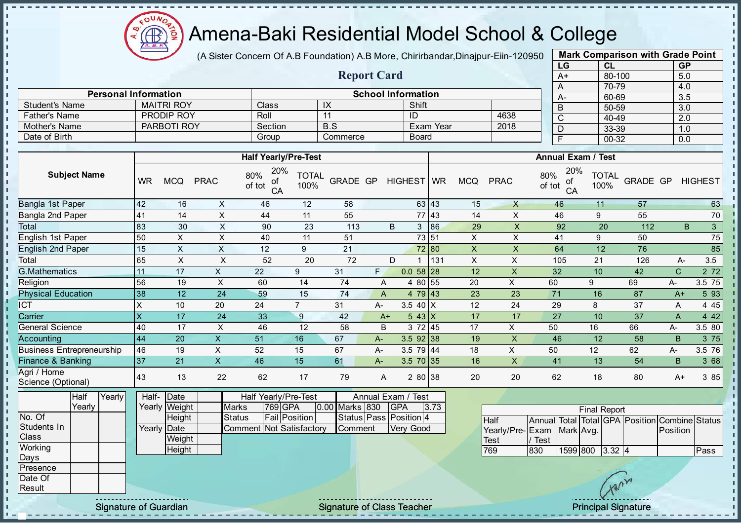

 $\mathbf{I}$ J.  $\mathbf{r}$  $\mathbf{r}$ - II J.  $\mathbf{r}$  $\mathbf{I}$  $\mathbf{I}$  $\mathbf{I}$ ίü.  $\mathbf{r}$ J.  $\mathbf{I}$ J.  $\mathbf{r}$  $\mathbf{I}$  $\blacksquare$  $\mathbf{I}$  $\mathbf{I}$  $\mathbf{I}$  $\mathbf{I}$  $\mathbf{I}$  $\mathbf{I}$  $\mathbf{I}$ 

 $\mathbf{I}$  $\mathbf{I}$  $\mathbf{I}$ 

 $\mathbf{I}$ 

 $\mathbf{I}$  $\frac{1}{1}$ 

'n.

'n. Ĩ, T,

T j,

 $\mathbf{I}$ 

l T  $\mathbf{r}$ 

 $\mathbf{L}$ 

l ni

h.

Î.

 $\mathbf{I}$ 

 $\mathbf{I}$ 

 $\mathbf{I}$ 

 $\mathbf{I}$ 

H.

h.

 $\mathbf{I}$ 

 $\mathbb T$ 

 $\mathbf{I}$ 

## Amena-Baki Residential Model School & College

(A Sister Concern Of A.B Foundation) A.B More, Chirirbandar, Dinajpur-Eiin-120950

Report Card

Personal Information<br>
MAITRI ROY Class IX School Information<br>
School Information<br>
Shift

Father's Name | PRODIP ROY | Roll | 11 | ID | 4638 Mother's Name PARBOTI ROY Section B.S Exam Year 2018

Student's Name MAITRI ROY Class IX Shift<br>
Father's Name PRODIP ROY Roll 11 ID

Date of Birth Group Commerce Board

| <b>Mark Comparison with Grade Point</b> |        |           |  |  |  |  |  |  |  |  |  |
|-----------------------------------------|--------|-----------|--|--|--|--|--|--|--|--|--|
| LG                                      | CL     | <b>GP</b> |  |  |  |  |  |  |  |  |  |
| A+                                      | 80-100 | 5.0       |  |  |  |  |  |  |  |  |  |
| A                                       | 70-79  | 4.0       |  |  |  |  |  |  |  |  |  |
| Ą-                                      | 60-69  | 3.5       |  |  |  |  |  |  |  |  |  |
| B                                       | 50-59  | 3.0       |  |  |  |  |  |  |  |  |  |
| С                                       | 40-49  | 2.0       |  |  |  |  |  |  |  |  |  |
| D                                       | 33-39  | 1.0       |  |  |  |  |  |  |  |  |  |
| F                                       | 00-32  | 0.0       |  |  |  |  |  |  |  |  |  |

J.

п

 $\mathbf{I}$ 

 $\mathbf{I}$  $\mathbf{I}$ 

 $\mathbf{I}$ 

п

J.

л

п

 $\mathbf{I}$ 

 $\mathbf{I}$ 

 $\mathbf{r}$ 

 $\mathbf{I}$ 

 $\mathbf{r}$ 

 $\mathbf{r}$ 

 $\mathbf{I}$ 

 $\mathbf{I}$ 

 $\mathbf{I}$ 

 $\mathbf{I}$ 

 $\mathbb I$ 

 $\mathbf{I}$ 

|                                   |           |                                                                                                                                                                                                                                                                                                                                                                                                                                                                            |                           |                                  |                           | <b>Half Yearly/Pre-Test</b>           |                  |                     |              |                        | <b>Annual Exam / Test</b> |                           |                           |                      |           |                     |                            |              |                      |
|-----------------------------------|-----------|----------------------------------------------------------------------------------------------------------------------------------------------------------------------------------------------------------------------------------------------------------------------------------------------------------------------------------------------------------------------------------------------------------------------------------------------------------------------------|---------------------------|----------------------------------|---------------------------|---------------------------------------|------------------|---------------------|--------------|------------------------|---------------------------|---------------------------|---------------------------|----------------------|-----------|---------------------|----------------------------|--------------|----------------------|
| <b>Subject Name</b>               | <b>WR</b> | <b>MCQ</b>                                                                                                                                                                                                                                                                                                                                                                                                                                                                 | <b>PRAC</b>               | 20%<br>80%<br>οf<br>of tot<br>CA | <b>TOTAL</b><br>100%      |                                       |                  | GRADE GP HIGHEST WR |              | <b>MCQ</b>             | <b>PRAC</b>               | 80%<br>of tot             | 20%<br>of<br>CA           | <b>TOTAL</b><br>100% | GRADE GP  |                     | <b>HIGHEST</b>             |              |                      |
| Bangla 1st Paper                  |           |                                                                                                                                                                                                                                                                                                                                                                                                                                                                            | 42                        | 16                               | $\boldsymbol{\mathsf{X}}$ | 46                                    | 12               | 58                  |              |                        | 63 43                     | 15                        | $\mathsf{X}$              |                      | 46        | 11                  | 57                         |              | 63                   |
| Bangla 2nd Paper                  |           |                                                                                                                                                                                                                                                                                                                                                                                                                                                                            | 41                        | 14                               | $\times$                  | 44                                    | 11               | 55                  |              |                        | 77 43                     | 14                        | $\mathsf{X}$              |                      | 46        | 9                   | 55                         |              | 70                   |
| Total                             |           |                                                                                                                                                                                                                                                                                                                                                                                                                                                                            | 83                        | 30                               | X                         | 90                                    | 23               | 113                 |              | B                      | 3 86                      | 29                        | X                         |                      | 92        | 20                  | 112                        |              | B.<br>3 <sup>2</sup> |
| English 1st Paper                 |           |                                                                                                                                                                                                                                                                                                                                                                                                                                                                            | 50                        | $\times$                         | X                         | 40                                    | 11               | 51                  |              |                        | 73 51                     | $\mathsf{X}$              | $\pmb{\times}$            |                      | 41        | 9                   | 50                         |              | $\overline{75}$      |
| <b>English 2nd Paper</b>          |           |                                                                                                                                                                                                                                                                                                                                                                                                                                                                            | 15                        | $\mathsf{X}$                     | $\boldsymbol{\mathsf{X}}$ | 12                                    | 9                | 21                  |              |                        | 72 80                     | $\mathsf X$               | $\boldsymbol{\mathsf{X}}$ |                      | 64        | 12                  | 76                         |              | 85                   |
| Total                             |           |                                                                                                                                                                                                                                                                                                                                                                                                                                                                            | 65                        | $\pmb{\times}$                   | $\pmb{\mathsf{X}}$        | 52                                    | 20               | 72                  |              | D<br>$\mathbf 1$       | 131                       | $\boldsymbol{\mathsf{X}}$ | $\sf X$                   |                      | 105       | 21                  | 126                        | A-           | 3.5                  |
| <b>G.Mathematics</b>              |           |                                                                                                                                                                                                                                                                                                                                                                                                                                                                            | 11                        | 17                               | $\mathsf X$               | 22                                    | $\boldsymbol{9}$ | 31                  | F.           | $0.058$ 28             |                           | 12                        | $\overline{\mathsf{X}}$   | 32                   |           | 10                  | 42                         | $\mathsf{C}$ | 272                  |
| Religion                          |           |                                                                                                                                                                                                                                                                                                                                                                                                                                                                            | 56                        | 19                               | $\mathsf X$               | 60                                    | 14               | 74                  | A            | 4 80 55                |                           | 20                        | $\mathsf{X}$              | 60                   |           | 9                   | 69                         | A-           | 3.5 75               |
| <b>Physical Education</b>         |           |                                                                                                                                                                                                                                                                                                                                                                                                                                                                            | 38                        | 12                               | 24                        | 59                                    | 15               | 74                  | $\mathsf{A}$ | 4 79 43                |                           | 23                        | 23                        | 71                   |           | 16                  | 87                         | $A+$         | 5 93                 |
| <b>ICT</b>                        |           |                                                                                                                                                                                                                                                                                                                                                                                                                                                                            | X                         | 10                               | 20                        | 24                                    | $\overline{7}$   | 31                  | А-           | 3.5 40 $X$             |                           | 12                        | 24                        | 29                   |           | 8                   | 37                         | A            | 445                  |
| Carrier                           |           |                                                                                                                                                                                                                                                                                                                                                                                                                                                                            | $\boldsymbol{\mathsf{X}}$ | 17                               | 24                        | 33                                    | $\boldsymbol{9}$ | 42                  | $A+$         | $543$ X                |                           | 17                        | 17                        | 27                   |           | 10                  | 37                         | A            | 4 4 2                |
| General Science                   |           |                                                                                                                                                                                                                                                                                                                                                                                                                                                                            | 40                        | 17                               | $\pmb{\times}$            | 46                                    | 12               | 58                  | B            | 3 72 45                |                           | 17                        | X                         | 50                   |           | 16                  | 66                         | А-           | 3.5 80               |
| Accounting                        |           |                                                                                                                                                                                                                                                                                                                                                                                                                                                                            | 44                        | 20                               | $\overline{\mathsf{x}}$   | 51                                    | 16               | 67                  | $A-$         | $3.5$ 92 38            |                           | 19                        | $\mathsf{X}$              | 46                   |           | 12                  | 58                         | B.           | 3 75                 |
| <b>Business Entrepreneurship</b>  |           |                                                                                                                                                                                                                                                                                                                                                                                                                                                                            | 46                        | 19                               | $\times$                  | 52                                    | 15               | 67                  | $A-$         | $3.5$ 79 44            |                           | 18                        | $\mathsf{X}$              | 50                   |           | 12                  | 62                         | А-           | 3.5 76               |
| <b>Finance &amp; Banking</b>      |           |                                                                                                                                                                                                                                                                                                                                                                                                                                                                            | 37                        | 21                               | $\overline{\mathsf{x}}$   | 46                                    | 15               | 61                  | A-           | 3.5 70 35              |                           | 16                        | $\sf X$                   | 41                   |           | 13                  | 54                         | B            | 3 68                 |
| Agri / Home<br>Science (Optional) |           |                                                                                                                                                                                                                                                                                                                                                                                                                                                                            | 43                        | 13                               | 22                        | 62                                    | 17               | 79                  | A            | 2 80 38                |                           | 20                        | 20                        | 62                   |           | 18                  | 80                         | $A+$         | 3 85                 |
|                                   | Half      | Yearly                                                                                                                                                                                                                                                                                                                                                                                                                                                                     | Half-                     | Date                             |                           | Half Yearly/Pre-Test                  |                  |                     |              | Annual Exam / Test     |                           |                           |                           |                      |           |                     |                            |              |                      |
|                                   | Yearly    |                                                                                                                                                                                                                                                                                                                                                                                                                                                                            |                           | Yearly Weight                    |                           | 769 GPA<br><b>Marks</b>               |                  | 0.00 Marks 830      |              | <b>GPA</b>             | 3.73                      |                           |                           |                      |           | <b>Final Report</b> |                            |              |                      |
| No. Of                            |           |                                                                                                                                                                                                                                                                                                                                                                                                                                                                            |                           | Height                           |                           | <b>Fail Position</b><br><b>Status</b> |                  |                     |              | Status Pass Position 4 |                           |                           | <b>Half</b>               | <b>Annual Total</b>  |           |                     | Total GPA Position Combine |              | <b>Status</b>        |
| Students In<br>Class              |           |                                                                                                                                                                                                                                                                                                                                                                                                                                                                            | Yearly                    | Date                             |                           | Comment                               | Not Satisfactory | Comment             |              | Very Good              |                           |                           | Yearly/Pre-Exam           |                      | Mark Avg. |                     |                            | Position     |                      |
| Working                           |           |                                                                                                                                                                                                                                                                                                                                                                                                                                                                            |                           | Weight                           |                           |                                       |                  |                     |              |                        |                           |                           | <b>Test</b>               | / Test               |           |                     |                            |              |                      |
| Days                              |           |                                                                                                                                                                                                                                                                                                                                                                                                                                                                            |                           | Height                           |                           |                                       |                  |                     |              |                        |                           |                           | 769                       | 830                  | 1599 800  | 3.32 4              |                            |              | Pass                 |
| Presence                          |           |                                                                                                                                                                                                                                                                                                                                                                                                                                                                            |                           |                                  |                           |                                       |                  |                     |              |                        |                           |                           |                           |                      |           |                     |                            |              |                      |
| Date Of                           |           |                                                                                                                                                                                                                                                                                                                                                                                                                                                                            |                           |                                  |                           |                                       |                  |                     |              |                        |                           |                           |                           |                      |           |                     |                            |              |                      |
| Result                            |           |                                                                                                                                                                                                                                                                                                                                                                                                                                                                            |                           |                                  |                           |                                       |                  |                     |              |                        |                           |                           |                           |                      |           |                     |                            |              |                      |
|                                   |           | $\frac{1}{2} \left( \frac{1}{2} \right) \left( \frac{1}{2} \right) \left( \frac{1}{2} \right) \left( \frac{1}{2} \right) \left( \frac{1}{2} \right) \left( \frac{1}{2} \right) \left( \frac{1}{2} \right) \left( \frac{1}{2} \right) \left( \frac{1}{2} \right) \left( \frac{1}{2} \right) \left( \frac{1}{2} \right) \left( \frac{1}{2} \right) \left( \frac{1}{2} \right) \left( \frac{1}{2} \right) \left( \frac{1}{2} \right) \left( \frac{1}{2} \right) \left( \frac$ |                           |                                  |                           |                                       |                  |                     |              |                        |                           |                           |                           |                      |           |                     |                            |              |                      |